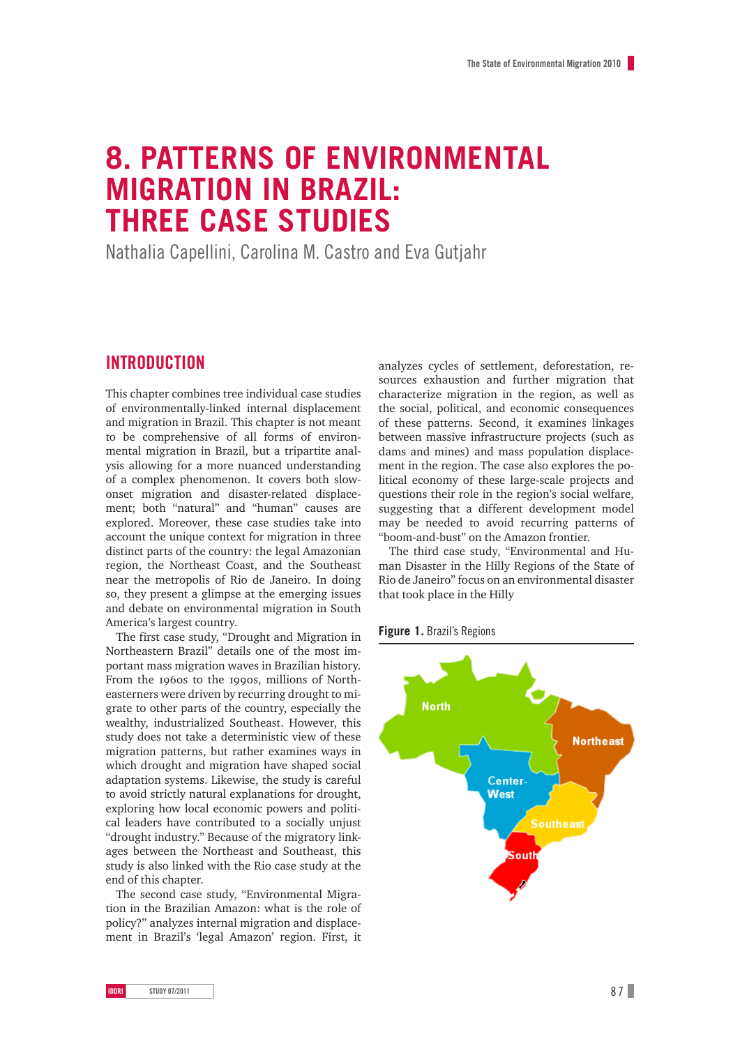# **8. Patterns of environmental migration in Brazil: three case studies**

Nathalia Capellini, Carolina M. Castro and Eva Gutjahr

## **Introduction**

This chapter combines tree individual case studies of environmentally-linked internal displacement and migration in Brazil. This chapter is not meant to be comprehensive of all forms of environmental migration in Brazil, but a tripartite analysis allowing for a more nuanced understanding of a complex phenomenon. It covers both slowonset migration and disaster-related displacement; both "natural" and "human" causes are explored. Moreover, these case studies take into account the unique context for migration in three distinct parts of the country: the legal Amazonian region, the Northeast Coast, and the Southeast near the metropolis of Rio de Janeiro. In doing so, they present a glimpse at the emerging issues and debate on environmental migration in South America's largest country.

The first case study, "Drought and Migration in Northeastern Brazil" details one of the most important mass migration waves in Brazilian history. From the 1960s to the 1990s, millions of Northeasterners were driven by recurring drought to migrate to other parts of the country, especially the wealthy, industrialized Southeast. However, this study does not take a deterministic view of these migration patterns, but rather examines ways in which drought and migration have shaped social adaptation systems. Likewise, the study is careful to avoid strictly natural explanations for drought, exploring how local economic powers and political leaders have contributed to a socially unjust "drought industry." Because of the migratory linkages between the Northeast and Southeast, this study is also linked with the Rio case study at the end of this chapter.

The second case study, "Environmental Migration in the Brazilian Amazon: what is the role of policy?" analyzes internal migration and displacement in Brazil's 'legal Amazon' region. First, it

analyzes cycles of settlement, deforestation, resources exhaustion and further migration that characterize migration in the region, as well as the social, political, and economic consequences of these patterns. Second, it examines linkages between massive infrastructure projects (such as dams and mines) and mass population displacement in the region. The case also explores the political economy of these large-scale projects and questions their role in the region's social welfare, suggesting that a different development model may be needed to avoid recurring patterns of "boom-and-bust" on the Amazon frontier.

The third case study, "Environmental and Human Disaster in the Hilly Regions of the State of Rio de Janeiro" focus on an environmental disaster that took place in the Hilly

**Figure 1.** Brazil's Regions

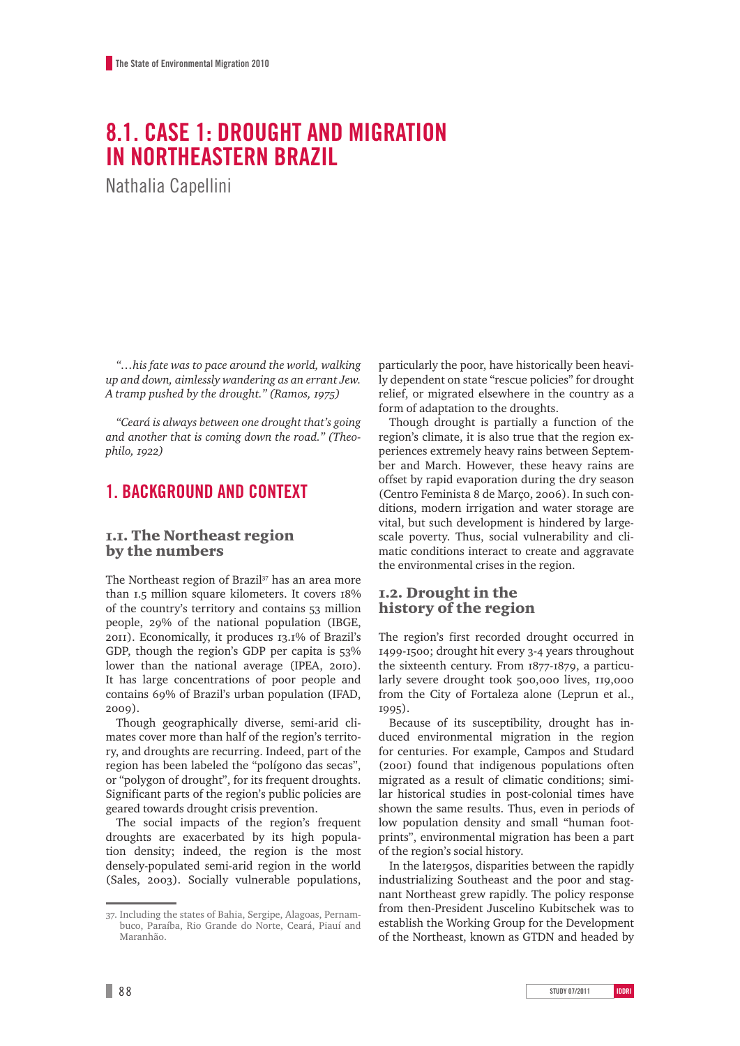# **8.1. Case 1: Drought and migration in Northeastern Brazil**

Nathalia Capellini

*"…his fate was to pace around the world, walking up and down, aimlessly wandering as an errant Jew. A tramp pushed by the drought." (Ramos, 1975)*

*"Ceará is always between one drought that's going and another that is coming down the road." (Theophilo, 1922)*

## **1. Background and context**

### 1.1. The Northeast region by the numbers

The Northeast region of Brazil<sup>37</sup> has an area more than 1.5 million square kilometers. It covers 18% of the country's territory and contains 53 million people, 29% of the national population (IBGE, 2011). Economically, it produces 13.1% of Brazil's GDP, though the region's GDP per capita is 53% lower than the national average (IPEA, 2010). It has large concentrations of poor people and contains 69% of Brazil's urban population (IFAD, 2009).

Though geographically diverse, semi-arid climates cover more than half of the region's territory, and droughts are recurring. Indeed, part of the region has been labeled the "polígono das secas", or "polygon of drought", for its frequent droughts. Significant parts of the region's public policies are geared towards drought crisis prevention.

The social impacts of the region's frequent droughts are exacerbated by its high population density; indeed, the region is the most densely-populated semi-arid region in the world (Sales, 2003). Socially vulnerable populations, particularly the poor, have historically been heavily dependent on state "rescue policies" for drought relief, or migrated elsewhere in the country as a form of adaptation to the droughts.

Though drought is partially a function of the region's climate, it is also true that the region experiences extremely heavy rains between September and March. However, these heavy rains are offset by rapid evaporation during the dry season (Centro Feminista 8 de Março, 2006). In such conditions, modern irrigation and water storage are vital, but such development is hindered by largescale poverty. Thus, social vulnerability and climatic conditions interact to create and aggravate the environmental crises in the region.

### 1.2. Drought in the history of the region

The region's first recorded drought occurred in 1499-1500; drought hit every 3-4 years throughout the sixteenth century. From 1877-1879, a particularly severe drought took 500,000 lives, 119,000 from the City of Fortaleza alone (Leprun et al., 1995).

Because of its susceptibility, drought has induced environmental migration in the region for centuries. For example, Campos and Studard (2001) found that indigenous populations often migrated as a result of climatic conditions; similar historical studies in post-colonial times have shown the same results. Thus, even in periods of low population density and small "human footprints", environmental migration has been a part of the region's social history.

In the late1950s, disparities between the rapidly industrializing Southeast and the poor and stagnant Northeast grew rapidly. The policy response from then-President Juscelino Kubitschek was to establish the Working Group for the Development of the Northeast, known as GTDN and headed by

<sup>37.</sup> Including the states of Bahia, Sergipe, Alagoas, Pernambuco, Paraíba, Rio Grande do Norte, Ceará, Piauí and Maranhão.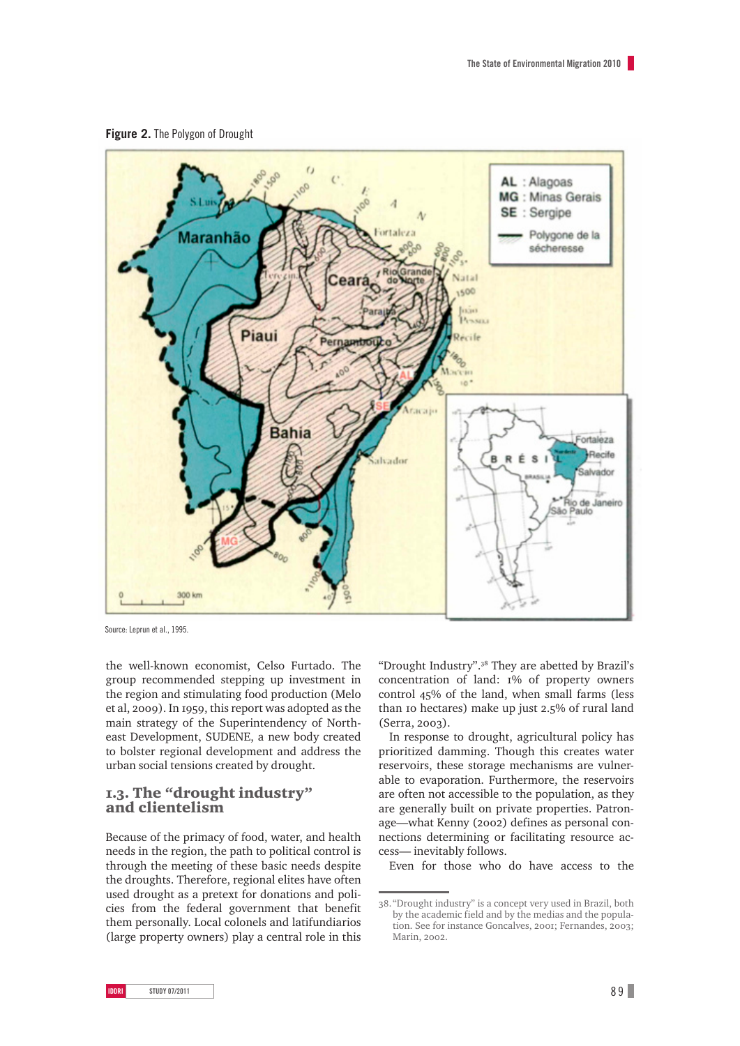



Source: Leprun et al., 1995.

the well-known economist, Celso Furtado. The group recommended stepping up investment in the region and stimulating food production (Melo et al, 2009). In 1959, this report was adopted as the main strategy of the Superintendency of Northeast Development, SUDENE, a new body created to bolster regional development and address the urban social tensions created by drought.

### 1.3. The "drought industry" and clientelism

Because of the primacy of food, water, and health needs in the region, the path to political control is through the meeting of these basic needs despite the droughts. Therefore, regional elites have often used drought as a pretext for donations and policies from the federal government that benefit them personally. Local colonels and latifundiarios (large property owners) play a central role in this

"Drought Industry".38 They are abetted by Brazil's concentration of land: 1% of property owners control 45% of the land, when small farms (less than 10 hectares) make up just 2.5% of rural land (Serra, 2003).

In response to drought, agricultural policy has prioritized damming. Though this creates water reservoirs, these storage mechanisms are vulnerable to evaporation. Furthermore, the reservoirs are often not accessible to the population, as they are generally built on private properties. Patronage—what Kenny (2002) defines as personal connections determining or facilitating resource access— inevitably follows.

Even for those who do have access to the

<sup>38.</sup> "Drought industry" is a concept very used in Brazil, both by the academic field and by the medias and the population. See for instance Goncalves, 2001; Fernandes, 2003; Marin, 2002.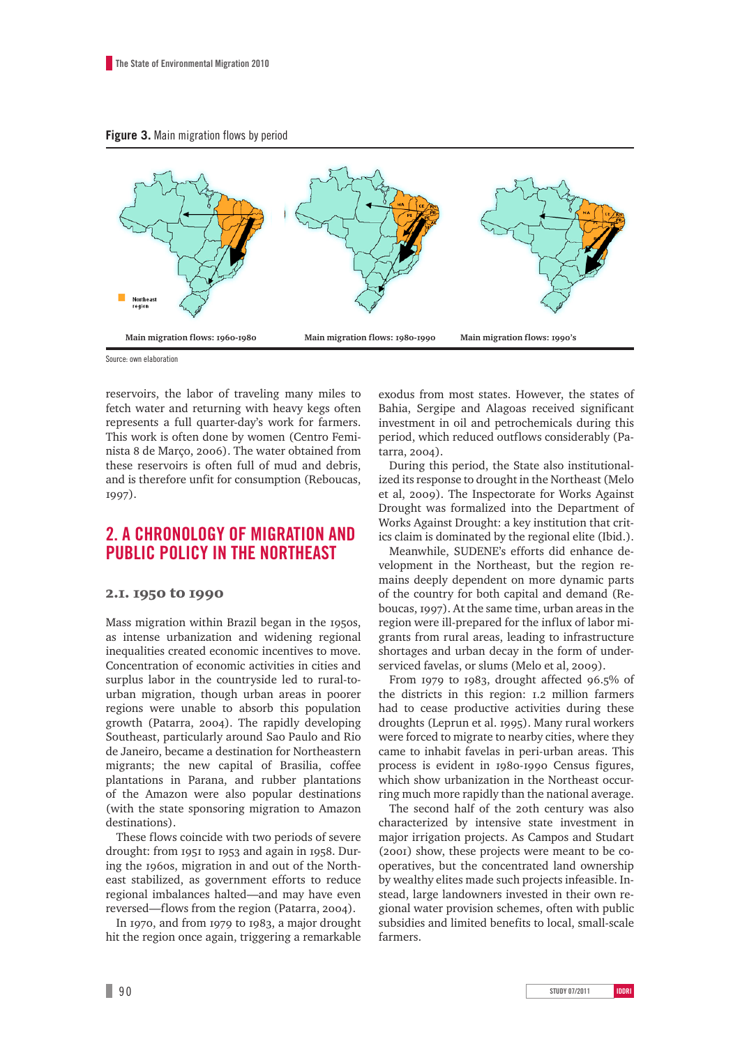

Source: own elaboration

reservoirs, the labor of traveling many miles to fetch water and returning with heavy kegs often represents a full quarter-day's work for farmers. This work is often done by women (Centro Feminista 8 de Março, 2006). The water obtained from these reservoirs is often full of mud and debris, and is therefore unfit for consumption (Reboucas, 1997).

## **2. A chronology of migration and public policy in the Northeast**

### 2.1. 1950 to 1990

Mass migration within Brazil began in the 1950s, as intense urbanization and widening regional inequalities created economic incentives to move. Concentration of economic activities in cities and surplus labor in the countryside led to rural-tourban migration, though urban areas in poorer regions were unable to absorb this population growth (Patarra, 2004). The rapidly developing Southeast, particularly around Sao Paulo and Rio de Janeiro, became a destination for Northeastern migrants; the new capital of Brasilia, coffee plantations in Parana, and rubber plantations of the Amazon were also popular destinations (with the state sponsoring migration to Amazon destinations).

These flows coincide with two periods of severe drought: from 1951 to 1953 and again in 1958. During the 1960s, migration in and out of the Northeast stabilized, as government efforts to reduce regional imbalances halted—and may have even reversed—flows from the region (Patarra, 2004).

In 1970, and from 1979 to 1983, a major drought hit the region once again, triggering a remarkable

exodus from most states. However, the states of Bahia, Sergipe and Alagoas received significant investment in oil and petrochemicals during this period, which reduced outflows considerably (Patarra, 2004).

During this period, the State also institutionalized its response to drought in the Northeast (Melo et al, 2009). The Inspectorate for Works Against Drought was formalized into the Department of Works Against Drought: a key institution that critics claim is dominated by the regional elite (Ibid.).

Meanwhile, SUDENE's efforts did enhance development in the Northeast, but the region remains deeply dependent on more dynamic parts of the country for both capital and demand (Reboucas, 1997). At the same time, urban areas in the region were ill-prepared for the influx of labor migrants from rural areas, leading to infrastructure shortages and urban decay in the form of underserviced favelas, or slums (Melo et al, 2009).

From 1979 to 1983, drought affected 96.5% of the districts in this region: 1.2 million farmers had to cease productive activities during these droughts (Leprun et al. 1995). Many rural workers were forced to migrate to nearby cities, where they came to inhabit favelas in peri-urban areas. This process is evident in 1980-1990 Census figures, which show urbanization in the Northeast occurring much more rapidly than the national average.

The second half of the 20th century was also characterized by intensive state investment in major irrigation projects. As Campos and Studart (2001) show, these projects were meant to be cooperatives, but the concentrated land ownership by wealthy elites made such projects infeasible. Instead, large landowners invested in their own regional water provision schemes, often with public subsidies and limited benefits to local, small-scale farmers.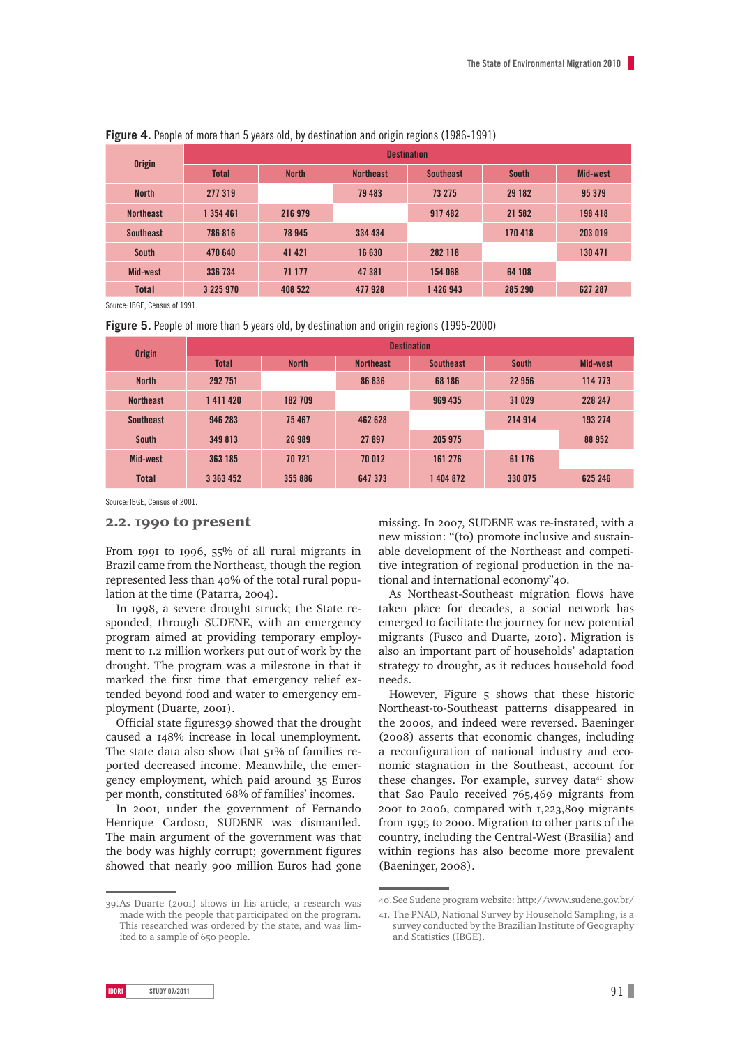| <b>Origin</b>    | <b>Destination</b> |              |                  |                  |              |                 |  |
|------------------|--------------------|--------------|------------------|------------------|--------------|-----------------|--|
|                  | <b>Total</b>       | <b>North</b> | <b>Northeast</b> | <b>Southeast</b> | <b>South</b> | <b>Mid-west</b> |  |
| <b>North</b>     | 277 319            |              | 79 483           | 73 275           | 29 182       | 95 379          |  |
| <b>Northeast</b> | 1 354 461          | 216 979      |                  | 917482           | 21 582       | 198 418         |  |
| <b>Southeast</b> | 786816             | 78 945       | 334 434          |                  | 170418       | 203 019         |  |
| <b>South</b>     | 470 640            | 41 421       | 16 630           | 282 118          |              | 130 471         |  |
| Mid-west         | 336 734            | 71 177       | 47 381           | 154 068          | 64 108       |                 |  |
| <b>Total</b>     | 3 225 970          | 408 522      | 477928           | 1426943          | 285 290      | 627 287         |  |

**Figure 4.** People of more than 5 years old, by destination and origin regions (1986-1991)

Source: IBGE, Census of 1991.

**Figure 5.** People of more than 5 years old, by destination and origin regions (1995-2000)

| <b>Origin</b>    | <b>Destination</b> |              |                  |                  |              |                 |
|------------------|--------------------|--------------|------------------|------------------|--------------|-----------------|
|                  | <b>Total</b>       | <b>North</b> | <b>Northeast</b> | <b>Southeast</b> | <b>South</b> | <b>Mid-west</b> |
| <b>North</b>     | 292 751            |              | 86 836           | 68 186           | 22 956       | 114 773         |
| <b>Northeast</b> | 1411420            | 182 709      |                  | 969 435          | 31 029       | 228 247         |
| <b>Southeast</b> | 946 283            | 75 467       | 462 628          |                  | 214 914      | 193 274         |
| <b>South</b>     | 349 813            | 26 989       | 27897            | 205 975          |              | 88 952          |
| Mid-west         | 363 185            | 70 721       | 70012            | 161 276          | 61 176       |                 |
| <b>Total</b>     | 3 363 452          | 355 886      | 647 373          | 1404872          | 330 075      | 625 246         |

Source: IBGE, Census of 2001.

### 2.2. 1990 to present

From 1991 to 1996, 55% of all rural migrants in Brazil came from the Northeast, though the region represented less than 40% of the total rural population at the time (Patarra, 2004).

In 1998, a severe drought struck; the State responded, through SUDENE, with an emergency program aimed at providing temporary employment to 1.2 million workers put out of work by the drought. The program was a milestone in that it marked the first time that emergency relief extended beyond food and water to emergency employment (Duarte, 2001).

Official state figures39 showed that the drought caused a 148% increase in local unemployment. The state data also show that 51% of families reported decreased income. Meanwhile, the emergency employment, which paid around 35 Euros per month, constituted 68% of families' incomes.

In 2001, under the government of Fernando Henrique Cardoso, SUDENE was dismantled. The main argument of the government was that the body was highly corrupt; government figures showed that nearly 900 million Euros had gone

39.As Duarte (2001) shows in his article, a research was made with the people that participated on the program. This researched was ordered by the state, and was limited to a sample of 650 people.

missing. In 2007, SUDENE was re-instated, with a new mission: "(to) promote inclusive and sustainable development of the Northeast and competitive integration of regional production in the national and international economy"40.

As Northeast-Southeast migration flows have taken place for decades, a social network has emerged to facilitate the journey for new potential migrants (Fusco and Duarte, 2010). Migration is also an important part of households' adaptation strategy to drought, as it reduces household food needs.

However, Figure 5 shows that these historic Northeast-to-Southeast patterns disappeared in the 2000s, and indeed were reversed. Baeninger (2008) asserts that economic changes, including a reconfiguration of national industry and economic stagnation in the Southeast, account for these changes. For example, survey data<sup>41</sup> show that Sao Paulo received 765,469 migrants from 2001 to 2006, compared with 1,223,809 migrants from 1995 to 2000. Migration to other parts of the country, including the Central-West (Brasilia) and within regions has also become more prevalent (Baeninger, 2008).

<sup>40.</sup>See Sudene program website: http://www.sudene.gov.br/

<sup>41.</sup> The PNAD, National Survey by Household Sampling, is a survey conducted by the Brazilian Institute of Geography and Statistics (IBGE).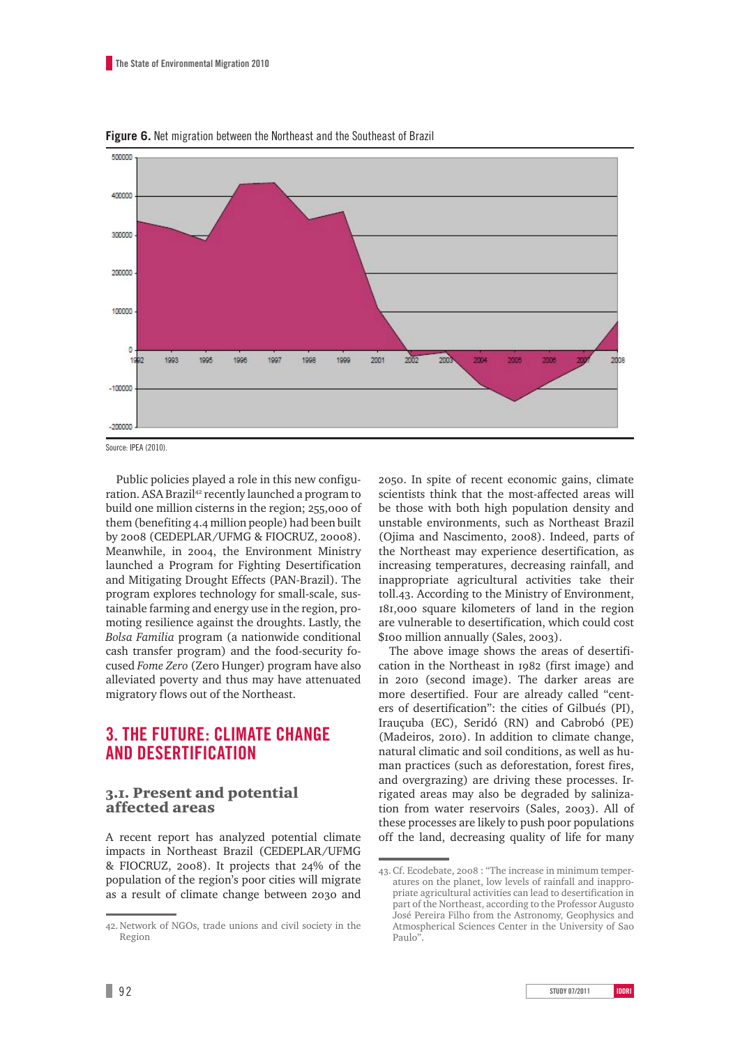

**Figure 6.** Net migration between the Northeast and the Southeast of Brazil

Source: IPEA (2010).

Public policies played a role in this new configuration. ASA Brazil<sup>42</sup> recently launched a program to build one million cisterns in the region; 255,000 of them (benefiting 4.4 million people) had been built by 2008 (CEDEPLAR/UFMG & FIOCRUZ, 20008). Meanwhile, in 2004, the Environment Ministry launched a Program for Fighting Desertification and Mitigating Drought Effects (PAN-Brazil). The program explores technology for small-scale, sustainable farming and energy use in the region, promoting resilience against the droughts. Lastly, the *Bolsa Familia* program (a nationwide conditional cash transfer program) and the food-security focused *Fome Zero* (Zero Hunger) program have also alleviated poverty and thus may have attenuated migratory flows out of the Northeast.

## **3. The future: Climate change and desertification**

### 3.1. Present and potential affected areas

A recent report has analyzed potential climate impacts in Northeast Brazil (CEDEPLAR/UFMG & FIOCRUZ, 2008). It projects that 24% of the population of the region's poor cities will migrate as a result of climate change between 2030 and 2050. In spite of recent economic gains, climate scientists think that the most-affected areas will be those with both high population density and unstable environments, such as Northeast Brazil (Ojima and Nascimento, 2008). Indeed, parts of the Northeast may experience desertification, as increasing temperatures, decreasing rainfall, and inappropriate agricultural activities take their toll.43. According to the Ministry of Environment, 181,000 square kilometers of land in the region are vulnerable to desertification, which could cost \$100 million annually (Sales, 2003).

The above image shows the areas of desertification in the Northeast in 1982 (first image) and in 2010 (second image). The darker areas are more desertified. Four are already called "centers of desertification": the cities of Gilbués (PI), Irauçuba (EC), Seridó (RN) and Cabrobó (PE) (Madeiros, 2010). In addition to climate change, natural climatic and soil conditions, as well as human practices (such as deforestation, forest fires, and overgrazing) are driving these processes. Irrigated areas may also be degraded by salinization from water reservoirs (Sales, 2003). All of these processes are likely to push poor populations off the land, decreasing quality of life for many

<sup>42.</sup>Network of NGOs, trade unions and civil society in the Region

<sup>43.</sup>Cf. Ecodebate, 2008 : "The increase in minimum temperatures on the planet, low levels of rainfall and inappropriate agricultural activities can lead to desertification in part of the Northeast, according to the Professor Augusto José Pereira Filho from the Astronomy, Geophysics and Atmospherical Sciences Center in the University of Sao Paulo"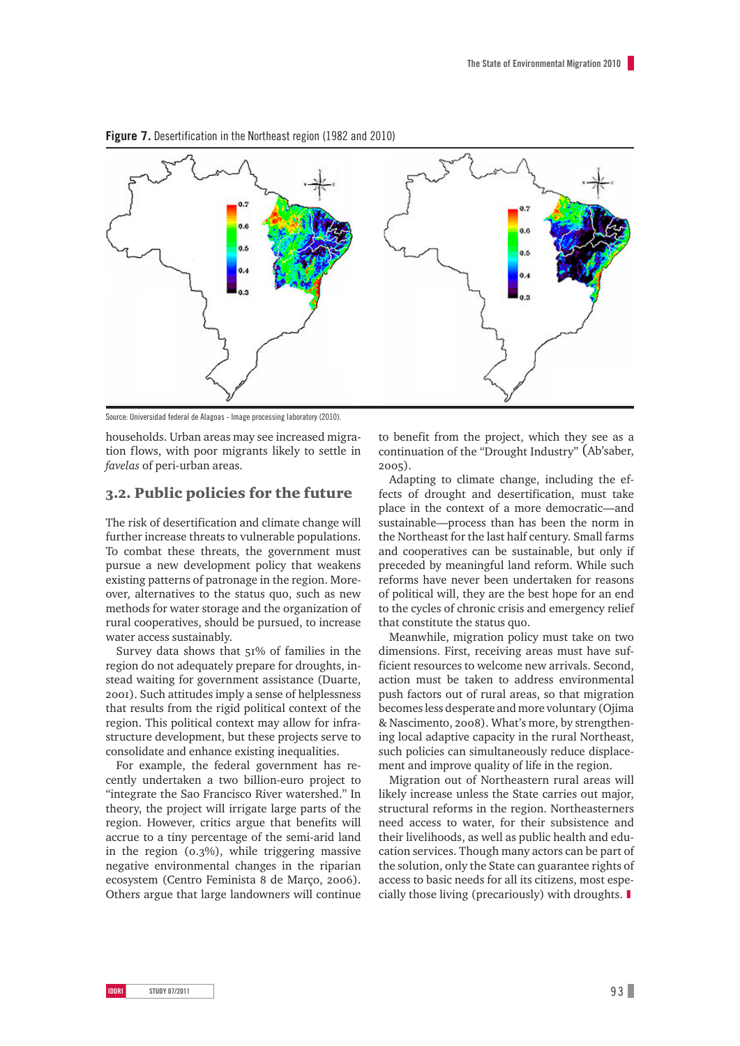

**Figure 7.** Desertification in the Northeast region (1982 and 2010)

Source: Universidad federal de Alagoas - Image processing laboratory (2010).

households. Urban areas may see increased migration flows, with poor migrants likely to settle in *favelas* of peri-urban areas.

### 3.2. Public policies for the future

The risk of desertification and climate change will further increase threats to vulnerable populations. To combat these threats, the government must pursue a new development policy that weakens existing patterns of patronage in the region. Moreover, alternatives to the status quo, such as new methods for water storage and the organization of rural cooperatives, should be pursued, to increase water access sustainably.

Survey data shows that 51% of families in the region do not adequately prepare for droughts, instead waiting for government assistance (Duarte, 2001). Such attitudes imply a sense of helplessness that results from the rigid political context of the region. This political context may allow for infrastructure development, but these projects serve to consolidate and enhance existing inequalities.

For example, the federal government has recently undertaken a two billion-euro project to "integrate the Sao Francisco River watershed." In theory, the project will irrigate large parts of the region. However, critics argue that benefits will accrue to a tiny percentage of the semi-arid land in the region (0.3%), while triggering massive negative environmental changes in the riparian ecosystem (Centro Feminista 8 de Março, 2006). Others argue that large landowners will continue

to benefit from the project, which they see as a continuation of the "Drought Industry" (Ab'saber, 2005).

Adapting to climate change, including the effects of drought and desertification, must take place in the context of a more democratic—and sustainable—process than has been the norm in the Northeast for the last half century. Small farms and cooperatives can be sustainable, but only if preceded by meaningful land reform. While such reforms have never been undertaken for reasons of political will, they are the best hope for an end to the cycles of chronic crisis and emergency relief that constitute the status quo.

Meanwhile, migration policy must take on two dimensions. First, receiving areas must have sufficient resources to welcome new arrivals. Second, action must be taken to address environmental push factors out of rural areas, so that migration becomes less desperate and more voluntary (Ojima & Nascimento, 2008). What's more, by strengthening local adaptive capacity in the rural Northeast, such policies can simultaneously reduce displacement and improve quality of life in the region.

Migration out of Northeastern rural areas will likely increase unless the State carries out major, structural reforms in the region. Northeasterners need access to water, for their subsistence and their livelihoods, as well as public health and education services. Though many actors can be part of the solution, only the State can guarantee rights of access to basic needs for all its citizens, most especially those living (precariously) with droughts. ❚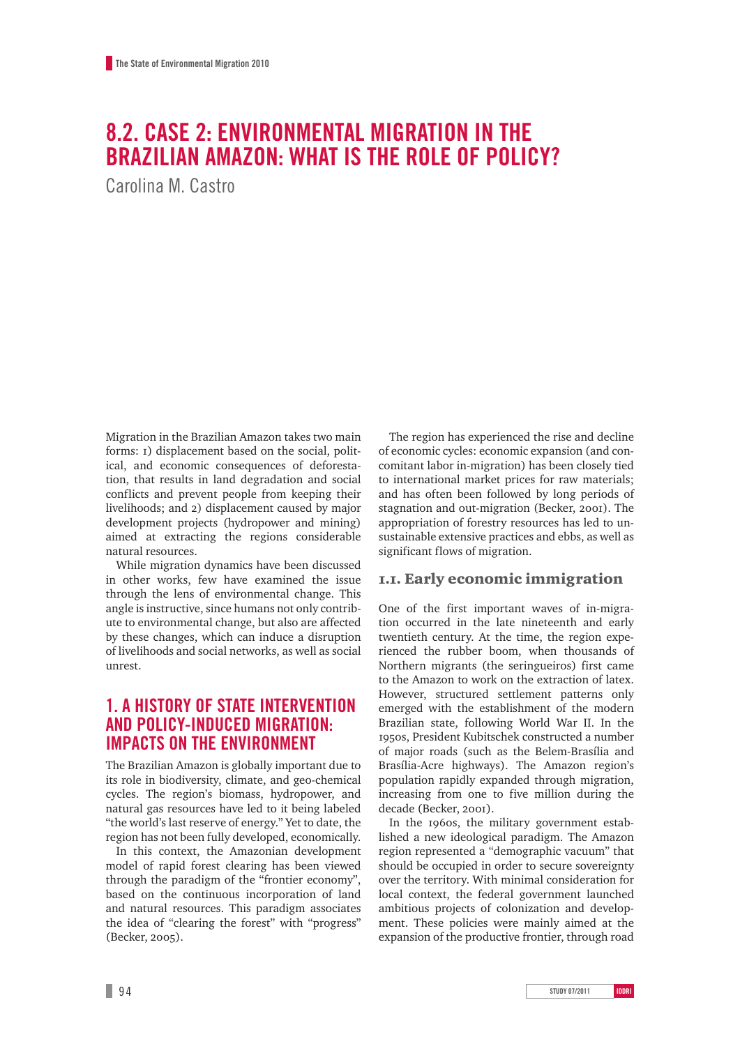# **8.2. Case 2: Environmental migration in the Brazilian Amazon: What is the role of policy?**

Carolina M. Castro

Migration in the Brazilian Amazon takes two main forms: 1) displacement based on the social, political, and economic consequences of deforestation, that results in land degradation and social conflicts and prevent people from keeping their livelihoods; and 2) displacement caused by major development projects (hydropower and mining) aimed at extracting the regions considerable natural resources.

While migration dynamics have been discussed in other works, few have examined the issue through the lens of environmental change. This angle is instructive, since humans not only contribute to environmental change, but also are affected by these changes, which can induce a disruption of livelihoods and social networks, as well as social unrest.

## **1. A history of state intervention and policy-induced migration: impacts on the environment**

The Brazilian Amazon is globally important due to its role in biodiversity, climate, and geo-chemical cycles. The region's biomass, hydropower, and natural gas resources have led to it being labeled "the world's last reserve of energy." Yet to date, the region has not been fully developed, economically.

In this context, the Amazonian development model of rapid forest clearing has been viewed through the paradigm of the "frontier economy", based on the continuous incorporation of land and natural resources. This paradigm associates the idea of "clearing the forest" with "progress" (Becker, 2005).

The region has experienced the rise and decline of economic cycles: economic expansion (and concomitant labor in-migration) has been closely tied to international market prices for raw materials; and has often been followed by long periods of stagnation and out-migration (Becker, 2001). The appropriation of forestry resources has led to unsustainable extensive practices and ebbs, as well as significant flows of migration.

### 1.1. Early economic immigration

One of the first important waves of in-migration occurred in the late nineteenth and early twentieth century. At the time, the region experienced the rubber boom, when thousands of Northern migrants (the seringueiros) first came to the Amazon to work on the extraction of latex. However, structured settlement patterns only emerged with the establishment of the modern Brazilian state, following World War II. In the 1950s, President Kubitschek constructed a number of major roads (such as the Belem-Brasília and Brasília-Acre highways). The Amazon region's population rapidly expanded through migration, increasing from one to five million during the decade (Becker, 2001).

In the 1960s, the military government established a new ideological paradigm. The Amazon region represented a "demographic vacuum" that should be occupied in order to secure sovereignty over the territory. With minimal consideration for local context, the federal government launched ambitious projects of colonization and development. These policies were mainly aimed at the expansion of the productive frontier, through road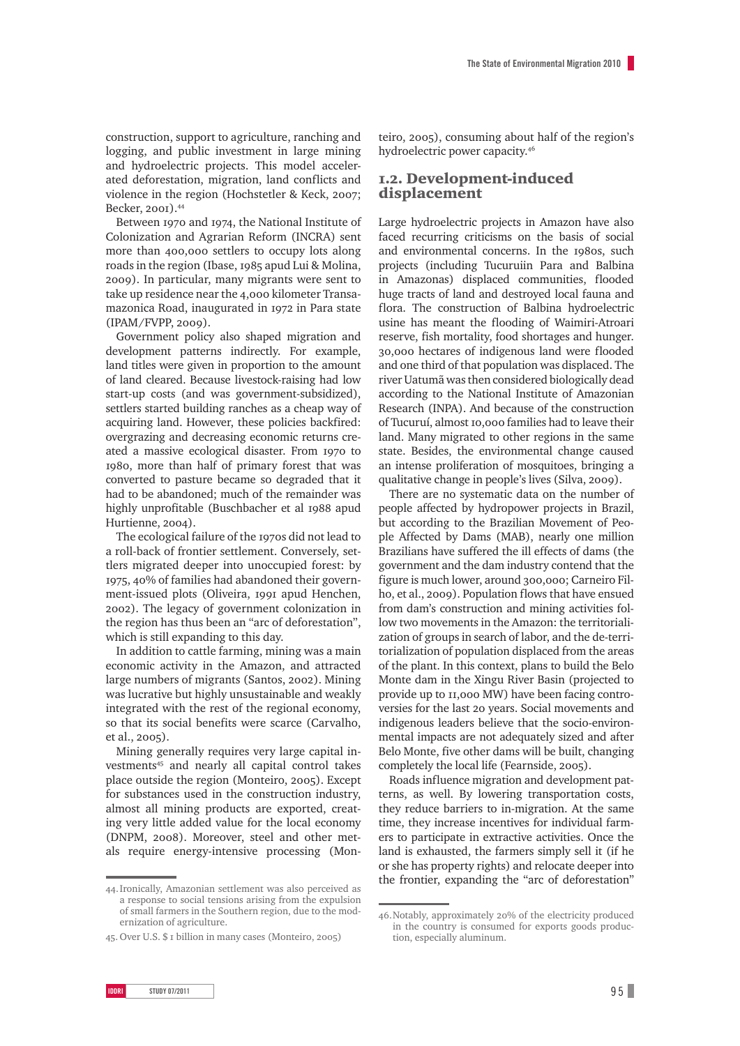construction, support to agriculture, ranching and logging, and public investment in large mining and hydroelectric projects. This model accelerated deforestation, migration, land conflicts and violence in the region (Hochstetler & Keck, 2007; Becker, 2001).44

Between 1970 and 1974, the National Institute of Colonization and Agrarian Reform (INCRA) sent more than 400,000 settlers to occupy lots along roads in the region (Ibase, 1985 apud Lui & Molina, 2009). In particular, many migrants were sent to take up residence near the 4,000 kilometer Transamazonica Road, inaugurated in 1972 in Para state (IPAM/FVPP, 2009).

Government policy also shaped migration and development patterns indirectly. For example, land titles were given in proportion to the amount of land cleared. Because livestock-raising had low start-up costs (and was government-subsidized), settlers started building ranches as a cheap way of acquiring land. However, these policies backfired: overgrazing and decreasing economic returns created a massive ecological disaster. From 1970 to 1980, more than half of primary forest that was converted to pasture became so degraded that it had to be abandoned; much of the remainder was highly unprofitable (Buschbacher et al 1988 apud Hurtienne, 2004).

The ecological failure of the 1970s did not lead to a roll-back of frontier settlement. Conversely, settlers migrated deeper into unoccupied forest: by 1975, 40% of families had abandoned their government-issued plots (Oliveira, 1991 apud Henchen, 2002). The legacy of government colonization in the region has thus been an "arc of deforestation", which is still expanding to this day.

In addition to cattle farming, mining was a main economic activity in the Amazon, and attracted large numbers of migrants (Santos, 2002). Mining was lucrative but highly unsustainable and weakly integrated with the rest of the regional economy, so that its social benefits were scarce (Carvalho, et al., 2005).

Mining generally requires very large capital investments<sup>45</sup> and nearly all capital control takes place outside the region (Monteiro, 2005). Except for substances used in the construction industry, almost all mining products are exported, creating very little added value for the local economy (DNPM, 2008). Moreover, steel and other metals require energy-intensive processing (Mon-

teiro, 2005), consuming about half of the region's hydroelectric power capacity.46

### 1.2. Development-induced displacement

Large hydroelectric projects in Amazon have also faced recurring criticisms on the basis of social and environmental concerns. In the 1980s, such projects (including Tucuruiin Para and Balbina in Amazonas) displaced communities, flooded huge tracts of land and destroyed local fauna and flora. The construction of Balbina hydroelectric usine has meant the flooding of Waimiri-Atroari reserve, fish mortality, food shortages and hunger. 30,000 hectares of indigenous land were flooded and one third of that population was displaced. The river Uatumã was then considered biologically dead according to the National Institute of Amazonian Research (INPA). And because of the construction of Tucuruí, almost 10,000 families had to leave their land. Many migrated to other regions in the same state. Besides, the environmental change caused an intense proliferation of mosquitoes, bringing a qualitative change in people's lives (Silva, 2009).

There are no systematic data on the number of people affected by hydropower projects in Brazil, but according to the Brazilian Movement of People Affected by Dams (MAB), nearly one million Brazilians have suffered the ill effects of dams (the government and the dam industry contend that the figure is much lower, around 300,000; Carneiro Filho, et al., 2009). Population flows that have ensued from dam's construction and mining activities follow two movements in the Amazon: the territorialization of groups in search of labor, and the de-territorialization of population displaced from the areas of the plant. In this context, plans to build the Belo Monte dam in the Xingu River Basin (projected to provide up to 11,000 MW) have been facing controversies for the last 20 years. Social movements and indigenous leaders believe that the socio-environmental impacts are not adequately sized and after Belo Monte, five other dams will be built, changing completely the local life (Fearnside, 2005).

Roads influence migration and development patterns, as well. By lowering transportation costs, they reduce barriers to in-migration. At the same time, they increase incentives for individual farmers to participate in extractive activities. Once the land is exhausted, the farmers simply sell it (if he or she has property rights) and relocate deeper into the frontier, expanding the "arc of deforestation"

<sup>44.</sup>Ironically, Amazonian settlement was also perceived as a response to social tensions arising from the expulsion of small farmers in the Southern region, due to the modernization of agriculture.

<sup>45.</sup> Over U.S. \$ 1 billion in many cases (Monteiro, 2005)

<sup>46.</sup>Notably, approximately 20% of the electricity produced in the country is consumed for exports goods production, especially aluminum.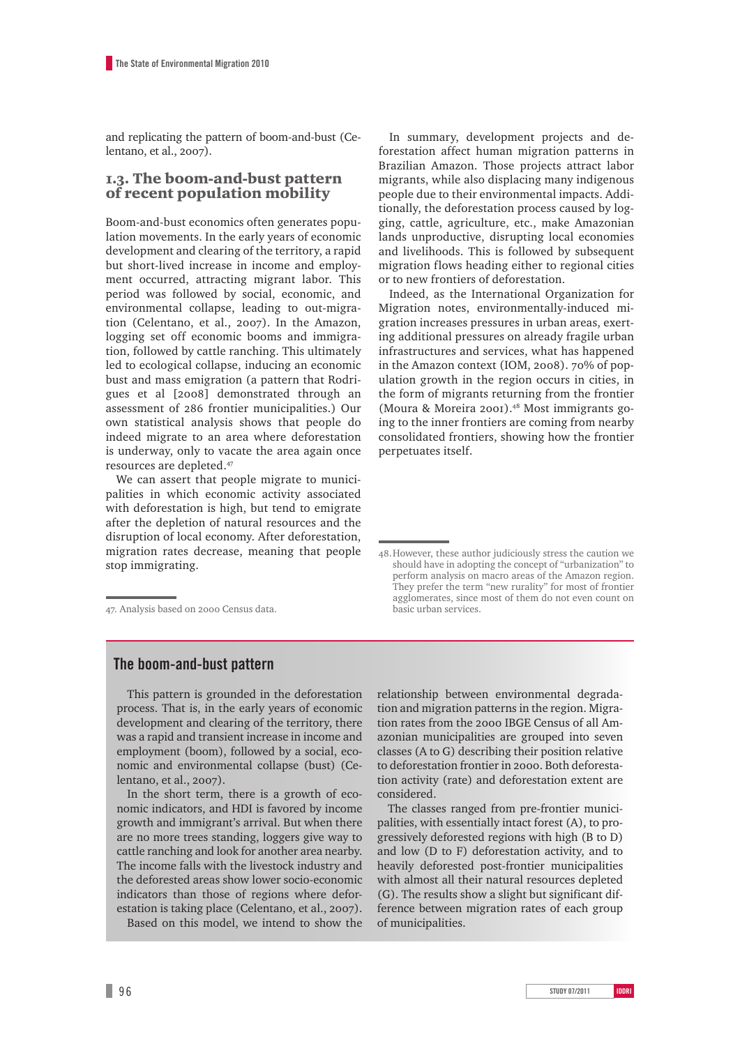and replicating the pattern of boom-and-bust (Celentano, et al., 2007).

### 1.3. The boom-and-bust pattern of recent population mobility

Boom-and-bust economics often generates population movements. In the early years of economic development and clearing of the territory, a rapid but short-lived increase in income and employment occurred, attracting migrant labor. This period was followed by social, economic, and environmental collapse, leading to out-migration (Celentano, et al., 2007). In the Amazon, logging set off economic booms and immigration, followed by cattle ranching. This ultimately led to ecological collapse, inducing an economic bust and mass emigration (a pattern that Rodrigues et al [2008] demonstrated through an assessment of 286 frontier municipalities.) Our own statistical analysis shows that people do indeed migrate to an area where deforestation is underway, only to vacate the area again once resources are depleted.47

We can assert that people migrate to municipalities in which economic activity associated with deforestation is high, but tend to emigrate after the depletion of natural resources and the disruption of local economy. After deforestation, migration rates decrease, meaning that people stop immigrating.

47. Analysis based on 2000 Census data.

In summary, development projects and deforestation affect human migration patterns in Brazilian Amazon. Those projects attract labor migrants, while also displacing many indigenous people due to their environmental impacts. Additionally, the deforestation process caused by logging, cattle, agriculture, etc., make Amazonian lands unproductive, disrupting local economies and livelihoods. This is followed by subsequent migration flows heading either to regional cities or to new frontiers of deforestation.

Indeed, as the International Organization for Migration notes, environmentally-induced migration increases pressures in urban areas, exerting additional pressures on already fragile urban infrastructures and services, what has happened in the Amazon context (IOM, 2008). 70% of population growth in the region occurs in cities, in the form of migrants returning from the frontier (Moura & Moreira 2001).48 Most immigrants going to the inner frontiers are coming from nearby consolidated frontiers, showing how the frontier perpetuates itself.

## **The boom-and-bust pattern**

This pattern is grounded in the deforestation process. That is, in the early years of economic development and clearing of the territory, there was a rapid and transient increase in income and employment (boom), followed by a social, economic and environmental collapse (bust) (Celentano, et al., 2007).

In the short term, there is a growth of economic indicators, and HDI is favored by income growth and immigrant's arrival. But when there are no more trees standing, loggers give way to cattle ranching and look for another area nearby. The income falls with the livestock industry and the deforested areas show lower socio-economic indicators than those of regions where deforestation is taking place (Celentano, et al., 2007). Based on this model, we intend to show the

relationship between environmental degradation and migration patterns in the region. Migration rates from the 2000 IBGE Census of all Amazonian municipalities are grouped into seven classes (A to G) describing their position relative to deforestation frontier in 2000. Both deforestation activity (rate) and deforestation extent are considered.

The classes ranged from pre-frontier municipalities, with essentially intact forest (A), to progressively deforested regions with high (B to D) and low (D to F) deforestation activity, and to heavily deforested post-frontier municipalities with almost all their natural resources depleted (G). The results show a slight but significant difference between migration rates of each group of municipalities.

<sup>48.</sup>However, these author judiciously stress the caution we should have in adopting the concept of "urbanization" to perform analysis on macro areas of the Amazon region. They prefer the term "new rurality" for most of frontier agglomerates, since most of them do not even count on basic urban services.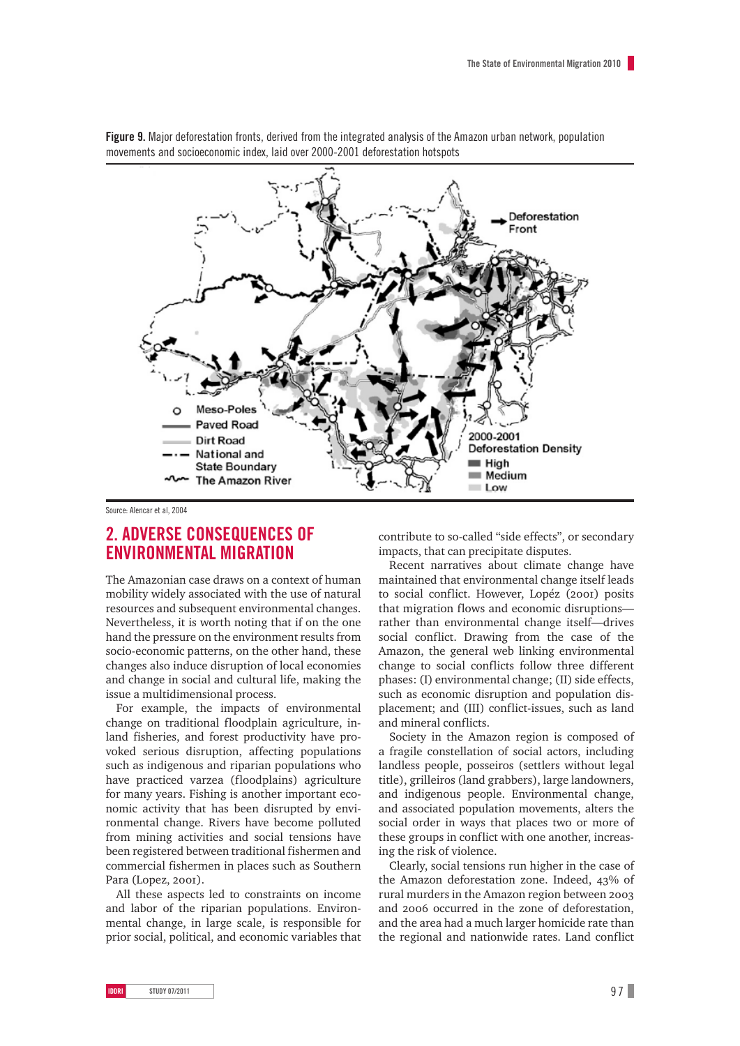

**Figure 9.** Major deforestation fronts, derived from the integrated analysis of the Amazon urban network, population movements and socioeconomic index, laid over 2000-2001 deforestation hotspots

#### Source: Alencar et al, 2004

## **2. Adverse consequences of environmental migration**

The Amazonian case draws on a context of human mobility widely associated with the use of natural resources and subsequent environmental changes. Nevertheless, it is worth noting that if on the one hand the pressure on the environment results from socio-economic patterns, on the other hand, these changes also induce disruption of local economies and change in social and cultural life, making the issue a multidimensional process.

For example, the impacts of environmental change on traditional floodplain agriculture, inland fisheries, and forest productivity have provoked serious disruption, affecting populations such as indigenous and riparian populations who have practiced varzea (floodplains) agriculture for many years. Fishing is another important economic activity that has been disrupted by environmental change. Rivers have become polluted from mining activities and social tensions have been registered between traditional fishermen and commercial fishermen in places such as Southern Para (Lopez, 2001).

All these aspects led to constraints on income and labor of the riparian populations. Environmental change, in large scale, is responsible for prior social, political, and economic variables that

contribute to so-called "side effects", or secondary impacts, that can precipitate disputes.

Recent narratives about climate change have maintained that environmental change itself leads to social conflict. However, Lopéz (2001) posits that migration flows and economic disruptions rather than environmental change itself—drives social conflict. Drawing from the case of the Amazon, the general web linking environmental change to social conflicts follow three different phases: (I) environmental change; (II) side effects, such as economic disruption and population displacement; and (III) conflict-issues, such as land and mineral conflicts.

Society in the Amazon region is composed of a fragile constellation of social actors, including landless people, posseiros (settlers without legal title), grilleiros (land grabbers), large landowners, and indigenous people. Environmental change, and associated population movements, alters the social order in ways that places two or more of these groups in conflict with one another, increasing the risk of violence.

Clearly, social tensions run higher in the case of the Amazon deforestation zone. Indeed, 43% of rural murders in the Amazon region between 2003 and 2006 occurred in the zone of deforestation, and the area had a much larger homicide rate than the regional and nationwide rates. Land conflict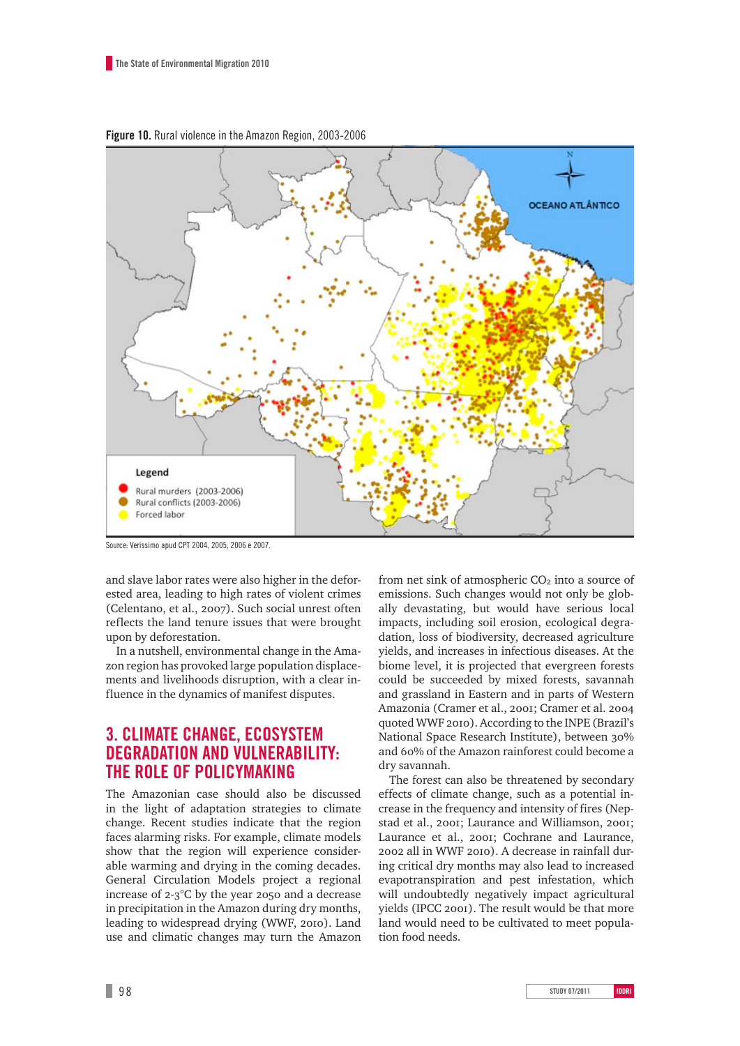

**Figure 10.** Rural violence in the Amazon Region, 2003-2006

Source: Verissimo apud CPT 2004, 2005, 2006 e 2007.

and slave labor rates were also higher in the deforested area, leading to high rates of violent crimes (Celentano, et al., 2007). Such social unrest often reflects the land tenure issues that were brought upon by deforestation.

In a nutshell, environmental change in the Amazon region has provoked large population displacements and livelihoods disruption, with a clear influence in the dynamics of manifest disputes.

# **3. Climate change, ecosystem degradation and vulnerability: the role of policymaking**

The Amazonian case should also be discussed in the light of adaptation strategies to climate change. Recent studies indicate that the region faces alarming risks. For example, climate models show that the region will experience considerable warming and drying in the coming decades. General Circulation Models project a regional increase of 2-3°C by the year 2050 and a decrease in precipitation in the Amazon during dry months, leading to widespread drying (WWF, 2010). Land use and climatic changes may turn the Amazon

from net sink of atmospheric  $CO<sub>2</sub>$  into a source of emissions. Such changes would not only be globally devastating, but would have serious local impacts, including soil erosion, ecological degradation, loss of biodiversity, decreased agriculture yields, and increases in infectious diseases. At the biome level, it is projected that evergreen forests could be succeeded by mixed forests, savannah and grassland in Eastern and in parts of Western Amazonia (Cramer et al., 2001; Cramer et al. 2004 quoted WWF 2010). According to the INPE (Brazil's National Space Research Institute), between 30% and 60% of the Amazon rainforest could become a dry savannah.

The forest can also be threatened by secondary effects of climate change, such as a potential increase in the frequency and intensity of fires (Nepstad et al., 2001; Laurance and Williamson, 2001; Laurance et al., 2001; Cochrane and Laurance, 2002 all in WWF 2010). A decrease in rainfall during critical dry months may also lead to increased evapotranspiration and pest infestation, which will undoubtedly negatively impact agricultural yields (IPCC 2001). The result would be that more land would need to be cultivated to meet population food needs.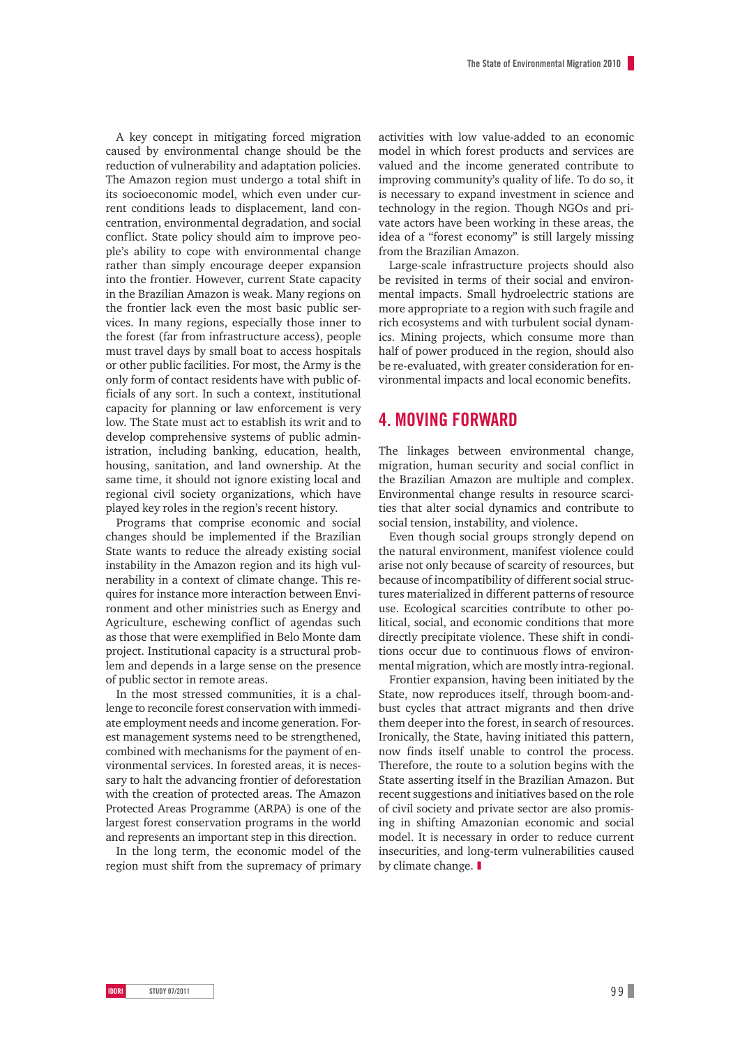A key concept in mitigating forced migration caused by environmental change should be the reduction of vulnerability and adaptation policies. The Amazon region must undergo a total shift in its socioeconomic model, which even under current conditions leads to displacement, land concentration, environmental degradation, and social conflict. State policy should aim to improve people's ability to cope with environmental change rather than simply encourage deeper expansion into the frontier. However, current State capacity in the Brazilian Amazon is weak. Many regions on the frontier lack even the most basic public services. In many regions, especially those inner to the forest (far from infrastructure access), people must travel days by small boat to access hospitals or other public facilities. For most, the Army is the only form of contact residents have with public officials of any sort. In such a context, institutional capacity for planning or law enforcement is very low. The State must act to establish its writ and to develop comprehensive systems of public administration, including banking, education, health, housing, sanitation, and land ownership. At the same time, it should not ignore existing local and regional civil society organizations, which have played key roles in the region's recent history.

Programs that comprise economic and social changes should be implemented if the Brazilian State wants to reduce the already existing social instability in the Amazon region and its high vulnerability in a context of climate change. This requires for instance more interaction between Environment and other ministries such as Energy and Agriculture, eschewing conflict of agendas such as those that were exemplified in Belo Monte dam project. Institutional capacity is a structural problem and depends in a large sense on the presence of public sector in remote areas.

In the most stressed communities, it is a challenge to reconcile forest conservation with immediate employment needs and income generation. Forest management systems need to be strengthened, combined with mechanisms for the payment of environmental services. In forested areas, it is necessary to halt the advancing frontier of deforestation with the creation of protected areas. The Amazon Protected Areas Programme (ARPA) is one of the largest forest conservation programs in the world and represents an important step in this direction.

In the long term, the economic model of the region must shift from the supremacy of primary

activities with low value-added to an economic model in which forest products and services are valued and the income generated contribute to improving community's quality of life. To do so, it is necessary to expand investment in science and technology in the region. Though NGOs and private actors have been working in these areas, the idea of a "forest economy" is still largely missing from the Brazilian Amazon.

Large-scale infrastructure projects should also be revisited in terms of their social and environmental impacts. Small hydroelectric stations are more appropriate to a region with such fragile and rich ecosystems and with turbulent social dynamics. Mining projects, which consume more than half of power produced in the region, should also be re-evaluated, with greater consideration for environmental impacts and local economic benefits.

## **4. Moving forward**

The linkages between environmental change, migration, human security and social conflict in the Brazilian Amazon are multiple and complex. Environmental change results in resource scarcities that alter social dynamics and contribute to social tension, instability, and violence.

Even though social groups strongly depend on the natural environment, manifest violence could arise not only because of scarcity of resources, but because of incompatibility of different social structures materialized in different patterns of resource use. Ecological scarcities contribute to other political, social, and economic conditions that more directly precipitate violence. These shift in conditions occur due to continuous flows of environmental migration, which are mostly intra-regional.

Frontier expansion, having been initiated by the State, now reproduces itself, through boom-andbust cycles that attract migrants and then drive them deeper into the forest, in search of resources. Ironically, the State, having initiated this pattern, now finds itself unable to control the process. Therefore, the route to a solution begins with the State asserting itself in the Brazilian Amazon. But recent suggestions and initiatives based on the role of civil society and private sector are also promising in shifting Amazonian economic and social model. It is necessary in order to reduce current insecurities, and long-term vulnerabilities caused by climate change. ❚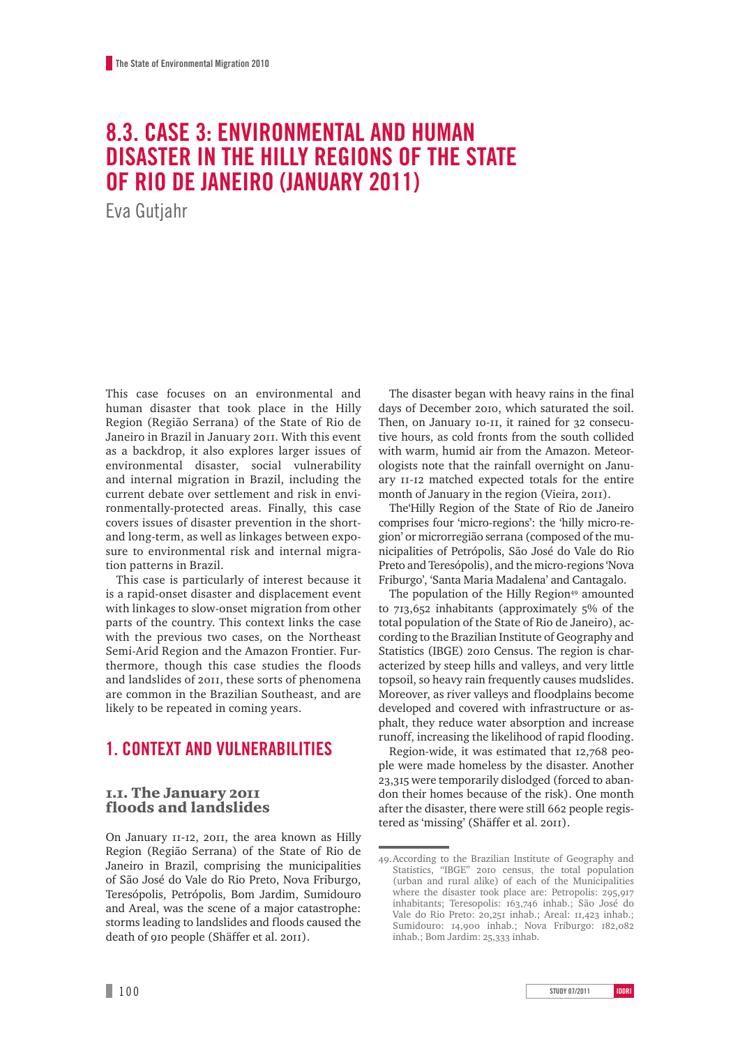# **8.3. Case 3: Environmental and Human Disaster in the Hilly Regions of the State of Rio de Janeiro (January 2011)**

Eva Gutjahr

This case focuses on an environmental and human disaster that took place in the Hilly Region (Região Serrana) of the State of Rio de Janeiro in Brazil in January 2011. With this event as a backdrop, it also explores larger issues of environmental disaster, social vulnerability and internal migration in Brazil, including the current debate over settlement and risk in environmentally-protected areas. Finally, this case covers issues of disaster prevention in the shortand long-term, as well as linkages between exposure to environmental risk and internal migration patterns in Brazil.

This case is particularly of interest because it is a rapid-onset disaster and displacement event with linkages to slow-onset migration from other parts of the country. This context links the case with the previous two cases, on the Northeast Semi-Arid Region and the Amazon Frontier. Furthermore, though this case studies the floods and landslides of 2011, these sorts of phenomena are common in the Brazilian Southeast, and are likely to be repeated in coming years.

# **1. Context and vulnerabilities**

### 1.1. The January 2011 floods and landslides

On January 11-12, 2011, the area known as Hilly Region (Região Serrana) of the State of Rio de Janeiro in Brazil, comprising the municipalities of São José do Vale do Rio Preto, Nova Friburgo, Teresópolis, Petrópolis, Bom Jardim, Sumidouro and Areal, was the scene of a major catastrophe: storms leading to landslides and floods caused the death of 910 people (Shäffer et al. 2011).

The disaster began with heavy rains in the final days of December 2010, which saturated the soil. Then, on January 10-11, it rained for 32 consecutive hours, as cold fronts from the south collided with warm, humid air from the Amazon. Meteorologists note that the rainfall overnight on January 11-12 matched expected totals for the entire month of January in the region (Vieira, 2011).

The'Hilly Region of the State of Rio de Janeiro comprises four 'micro-regions': the 'hilly micro-region' or microrregião serrana (composed of the municipalities of Petrópolis, São José do Vale do Rio Preto and Teresópolis), and the micro-regions 'Nova Friburgo', 'Santa Maria Madalena' and Cantagalo.

The population of the Hilly Region<sup>49</sup> amounted to 713,652 inhabitants (approximately 5% of the total population of the State of Rio de Janeiro), according to the Brazilian Institute of Geography and Statistics (IBGE) 2010 Census. The region is characterized by steep hills and valleys, and very little topsoil, so heavy rain frequently causes mudslides. Moreover, as river valleys and floodplains become developed and covered with infrastructure or asphalt, they reduce water absorption and increase runoff, increasing the likelihood of rapid flooding.

Region-wide, it was estimated that 12,768 people were made homeless by the disaster. Another 23,315 were temporarily dislodged (forced to abandon their homes because of the risk). One month after the disaster, there were still 662 people registered as 'missing' (Shäffer et al. 2011).

<sup>49.</sup>According to the Brazilian Institute of Geography and Statistics, "IBGE" 2010 census, the total population (urban and rural alike) of each of the Municipalities where the disaster took place are: Petropolis: 295,917 inhabitants; Teresopolis: 163,746 inhab.; São José do Vale do Rio Preto: 20,251 inhab.; Areal: 11,423 inhab.; Sumidouro: 14,900 inhab.; Nova Friburgo: 182,082 inhab.; Bom Jardim: 25,333 inhab.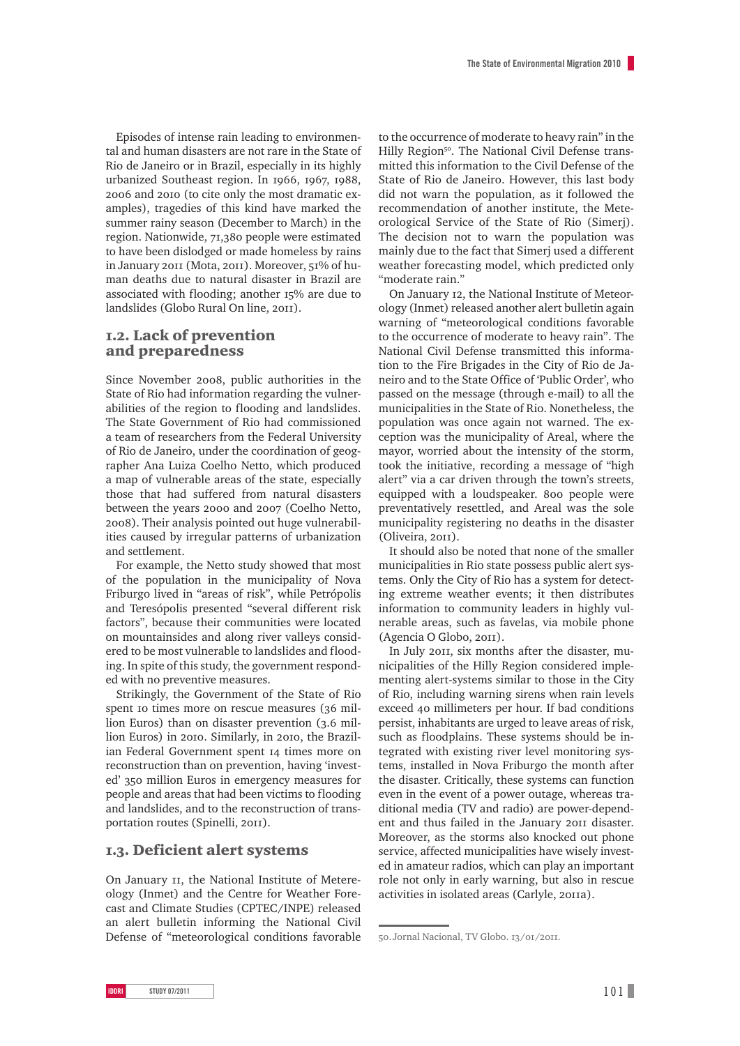Episodes of intense rain leading to environmental and human disasters are not rare in the State of Rio de Janeiro or in Brazil, especially in its highly urbanized Southeast region. In 1966, 1967, 1988, 2006 and 2010 (to cite only the most dramatic examples), tragedies of this kind have marked the summer rainy season (December to March) in the region. Nationwide, 71,380 people were estimated to have been dislodged or made homeless by rains in January 2011 (Mota, 2011). Moreover, 51% of human deaths due to natural disaster in Brazil are associated with flooding; another 15% are due to landslides (Globo Rural On line, 2011).

### 1.2. Lack of prevention and preparedness

Since November 2008, public authorities in the State of Rio had information regarding the vulnerabilities of the region to flooding and landslides. The State Government of Rio had commissioned a team of researchers from the Federal University of Rio de Janeiro, under the coordination of geographer Ana Luiza Coelho Netto, which produced a map of vulnerable areas of the state, especially those that had suffered from natural disasters between the years 2000 and 2007 (Coelho Netto, 2008). Their analysis pointed out huge vulnerabilities caused by irregular patterns of urbanization and settlement.

For example, the Netto study showed that most of the population in the municipality of Nova Friburgo lived in "areas of risk", while Petrópolis and Teresópolis presented "several different risk factors", because their communities were located on mountainsides and along river valleys considered to be most vulnerable to landslides and flooding. In spite of this study, the government responded with no preventive measures.

Strikingly, the Government of the State of Rio spent 10 times more on rescue measures (36 million Euros) than on disaster prevention (3.6 million Euros) in 2010. Similarly, in 2010, the Brazilian Federal Government spent 14 times more on reconstruction than on prevention, having 'invested' 350 million Euros in emergency measures for people and areas that had been victims to flooding and landslides, and to the reconstruction of transportation routes (Spinelli, 2011).

### 1.3. Deficient alert systems

On January 11, the National Institute of Metereology (Inmet) and the Centre for Weather Forecast and Climate Studies (CPTEC/INPE) released an alert bulletin informing the National Civil Defense of "meteorological conditions favorable

to the occurrence of moderate to heavy rain" in the Hilly Region<sup>50</sup>. The National Civil Defense transmitted this information to the Civil Defense of the State of Rio de Janeiro. However, this last body did not warn the population, as it followed the recommendation of another institute, the Meteorological Service of the State of Rio (Simerj). The decision not to warn the population was mainly due to the fact that Simerj used a different weather forecasting model, which predicted only "moderate rain."

On January 12, the National Institute of Meteorology (Inmet) released another alert bulletin again warning of "meteorological conditions favorable to the occurrence of moderate to heavy rain". The National Civil Defense transmitted this information to the Fire Brigades in the City of Rio de Janeiro and to the State Office of 'Public Order', who passed on the message (through e-mail) to all the municipalities in the State of Rio. Nonetheless, the population was once again not warned. The exception was the municipality of Areal, where the mayor, worried about the intensity of the storm, took the initiative, recording a message of "high alert" via a car driven through the town's streets, equipped with a loudspeaker. 800 people were preventatively resettled, and Areal was the sole municipality registering no deaths in the disaster (Oliveira, 2011).

It should also be noted that none of the smaller municipalities in Rio state possess public alert systems. Only the City of Rio has a system for detecting extreme weather events; it then distributes information to community leaders in highly vulnerable areas, such as favelas, via mobile phone (Agencia O Globo, 2011).

In July 2011, six months after the disaster, municipalities of the Hilly Region considered implementing alert-systems similar to those in the City of Rio, including warning sirens when rain levels exceed 40 millimeters per hour. If bad conditions persist, inhabitants are urged to leave areas of risk, such as floodplains. These systems should be integrated with existing river level monitoring systems, installed in Nova Friburgo the month after the disaster. Critically, these systems can function even in the event of a power outage, whereas traditional media (TV and radio) are power-dependent and thus failed in the January 2011 disaster. Moreover, as the storms also knocked out phone service, affected municipalities have wisely invested in amateur radios, which can play an important role not only in early warning, but also in rescue activities in isolated areas (Carlyle, 2011a).

<sup>50.</sup>Jornal Nacional, TV Globo. 13/01/2011.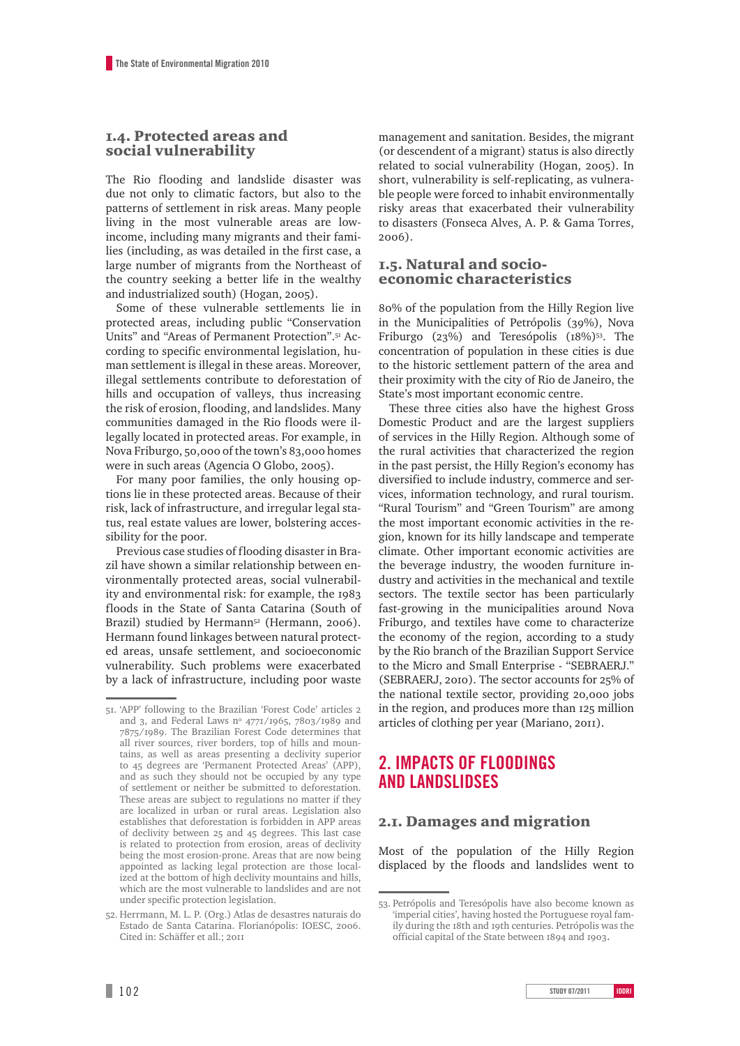### 1.4. Protected areas and social vulnerability

The Rio flooding and landslide disaster was due not only to climatic factors, but also to the patterns of settlement in risk areas. Many people living in the most vulnerable areas are lowincome, including many migrants and their families (including, as was detailed in the first case, a large number of migrants from the Northeast of the country seeking a better life in the wealthy and industrialized south) (Hogan, 2005).

Some of these vulnerable settlements lie in protected areas, including public "Conservation Units" and "Areas of Permanent Protection".51 According to specific environmental legislation, human settlement is illegal in these areas. Moreover, illegal settlements contribute to deforestation of hills and occupation of valleys, thus increasing the risk of erosion, flooding, and landslides. Many communities damaged in the Rio floods were illegally located in protected areas. For example, in Nova Friburgo, 50,000 of the town's 83,000 homes were in such areas (Agencia O Globo, 2005).

For many poor families, the only housing options lie in these protected areas. Because of their risk, lack of infrastructure, and irregular legal status, real estate values are lower, bolstering accessibility for the poor.

Previous case studies of flooding disaster in Brazil have shown a similar relationship between environmentally protected areas, social vulnerability and environmental risk: for example, the 1983 floods in the State of Santa Catarina (South of Brazil) studied by Hermann<sup>52</sup> (Hermann, 2006). Hermann found linkages between natural protected areas, unsafe settlement, and socioeconomic vulnerability. Such problems were exacerbated by a lack of infrastructure, including poor waste management and sanitation. Besides, the migrant (or descendent of a migrant) status is also directly related to social vulnerability (Hogan, 2005). In short, vulnerability is self-replicating, as vulnerable people were forced to inhabit environmentally risky areas that exacerbated their vulnerability to disasters (Fonseca Alves, A. P. & Gama Torres, 2006).

### 1.5. Natural and socioeconomic characteristics

80% of the population from the Hilly Region live in the Municipalities of Petrópolis (39%), Nova Friburgo (23%) and Teresópolis (18%)<sup>53</sup>. The concentration of population in these cities is due to the historic settlement pattern of the area and their proximity with the city of Rio de Janeiro, the State's most important economic centre.

These three cities also have the highest Gross Domestic Product and are the largest suppliers of services in the Hilly Region. Although some of the rural activities that characterized the region in the past persist, the Hilly Region's economy has diversified to include industry, commerce and services, information technology, and rural tourism. "Rural Tourism" and "Green Tourism" are among the most important economic activities in the region, known for its hilly landscape and temperate climate. Other important economic activities are the beverage industry, the wooden furniture industry and activities in the mechanical and textile sectors. The textile sector has been particularly fast-growing in the municipalities around Nova Friburgo, and textiles have come to characterize the economy of the region, according to a study by the Rio branch of the Brazilian Support Service to the Micro and Small Enterprise - "SEBRAERJ." (SEBRAERJ, 2010). The sector accounts for 25% of the national textile sector, providing 20,000 jobs in the region, and produces more than 125 million articles of clothing per year (Mariano, 2011).

## **2. Impacts of floodings and landslidses**

### 2.1. Damages and migration

Most of the population of the Hilly Region displaced by the floods and landslides went to

<sup>51.</sup> 'APP' following to the Brazilian 'Forest Code' articles 2 and 3, and Federal Laws nº 4771/1965, 7803/1989 and 7875/1989. The Brazilian Forest Code determines that all river sources, river borders, top of hills and mountains, as well as areas presenting a declivity superior to 45 degrees are 'Permanent Protected Areas' (APP), and as such they should not be occupied by any type of settlement or neither be submitted to deforestation. These areas are subject to regulations no matter if they are localized in urban or rural areas. Legislation also establishes that deforestation is forbidden in APP areas of declivity between 25 and 45 degrees. This last case is related to protection from erosion, areas of declivity being the most erosion-prone. Areas that are now being appointed as lacking legal protection are those localized at the bottom of high declivity mountains and hills, which are the most vulnerable to landslides and are not under specific protection legislation.

<sup>52.</sup> Herrmann, M. L. P. (Org.) Atlas de desastres naturais do Estado de Santa Catarina. Florianópolis: IOESC, 2006. Cited in: Schäffer et all.; 2011

<sup>53.</sup> Petrópolis and Teresópolis have also become known as 'imperial cities', having hosted the Portuguese royal family during the 18th and 19th centuries. Petrópolis was the official capital of the State between 1894 and 1903.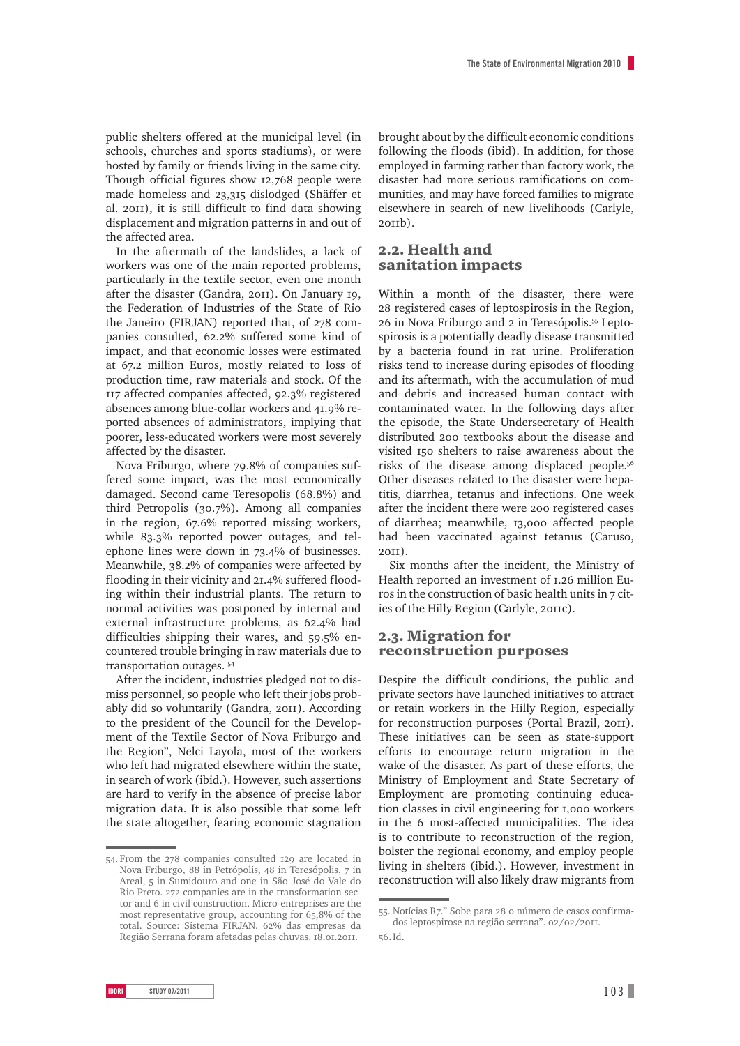public shelters offered at the municipal level (in schools, churches and sports stadiums), or were hosted by family or friends living in the same city. Though official figures show 12,768 people were made homeless and 23,315 dislodged (Shäffer et al. 2011), it is still difficult to find data showing displacement and migration patterns in and out of the affected area.

In the aftermath of the landslides, a lack of workers was one of the main reported problems, particularly in the textile sector, even one month after the disaster (Gandra, 2011). On January 19, the Federation of Industries of the State of Rio the Janeiro (FIRJAN) reported that, of 278 companies consulted, 62.2% suffered some kind of impact, and that economic losses were estimated at 67.2 million Euros, mostly related to loss of production time, raw materials and stock. Of the 117 affected companies affected, 92.3% registered absences among blue-collar workers and 41.9% reported absences of administrators, implying that poorer, less-educated workers were most severely affected by the disaster.

Nova Friburgo, where 79.8% of companies suffered some impact, was the most economically damaged. Second came Teresopolis (68.8%) and third Petropolis (30.7%). Among all companies in the region, 67.6% reported missing workers, while 83.3% reported power outages, and telephone lines were down in 73.4% of businesses. Meanwhile, 38.2% of companies were affected by flooding in their vicinity and 21.4% suffered flooding within their industrial plants. The return to normal activities was postponed by internal and external infrastructure problems, as 62.4% had difficulties shipping their wares, and 59.5% encountered trouble bringing in raw materials due to transportation outages. 54

After the incident, industries pledged not to dismiss personnel, so people who left their jobs probably did so voluntarily (Gandra, 2011). According to the president of the Council for the Development of the Textile Sector of Nova Friburgo and the Region", Nelci Layola, most of the workers who left had migrated elsewhere within the state, in search of work (ibid.). However, such assertions are hard to verify in the absence of precise labor migration data. It is also possible that some left the state altogether, fearing economic stagnation brought about by the difficult economic conditions following the floods (ibid). In addition, for those employed in farming rather than factory work, the disaster had more serious ramifications on communities, and may have forced families to migrate elsewhere in search of new livelihoods (Carlyle, 2011b).

### 2.2. Health and sanitation impacts

Within a month of the disaster, there were 28 registered cases of leptospirosis in the Region, 26 in Nova Friburgo and 2 in Teresópolis.55 Leptospirosis is a potentially deadly disease transmitted by a bacteria found in rat urine. Proliferation risks tend to increase during episodes of flooding and its aftermath, with the accumulation of mud and debris and increased human contact with contaminated water. In the following days after the episode, the State Undersecretary of Health distributed 200 textbooks about the disease and visited 150 shelters to raise awareness about the risks of the disease among displaced people.56 Other diseases related to the disaster were hepatitis, diarrhea, tetanus and infections. One week after the incident there were 200 registered cases of diarrhea; meanwhile, 13,000 affected people had been vaccinated against tetanus (Caruso, 2011).

Six months after the incident, the Ministry of Health reported an investment of 1.26 million Euros in the construction of basic health units in 7 cities of the Hilly Region (Carlyle, 2011c).

### 2.3. Migration for reconstruction purposes

Despite the difficult conditions, the public and private sectors have launched initiatives to attract or retain workers in the Hilly Region, especially for reconstruction purposes (Portal Brazil, 2011). These initiatives can be seen as state-support efforts to encourage return migration in the wake of the disaster. As part of these efforts, the Ministry of Employment and State Secretary of Employment are promoting continuing education classes in civil engineering for 1,000 workers in the 6 most-affected municipalities. The idea is to contribute to reconstruction of the region, bolster the regional economy, and employ people living in shelters (ibid.). However, investment in reconstruction will also likely draw migrants from

<sup>54.</sup> From the 278 companies consulted 129 are located in Nova Friburgo, 88 in Petrópolis, 48 in Teresópolis, 7 in Areal, 5 in Sumidouro and one in São José do Vale do Rio Preto. 272 companies are in the transformation sector and 6 in civil construction. Micro-entreprises are the most representative group, accounting for 65,8% of the total. Source: Sistema FIRJAN. 62% das empresas da Região Serrana foram afetadas pelas chuvas. 18.01.2011.

<sup>55.</sup> Notícias R7." Sobe para 28 o número de casos confirmados leptospirose na região serrana". 02/02/2011.

<sup>56.</sup>Id.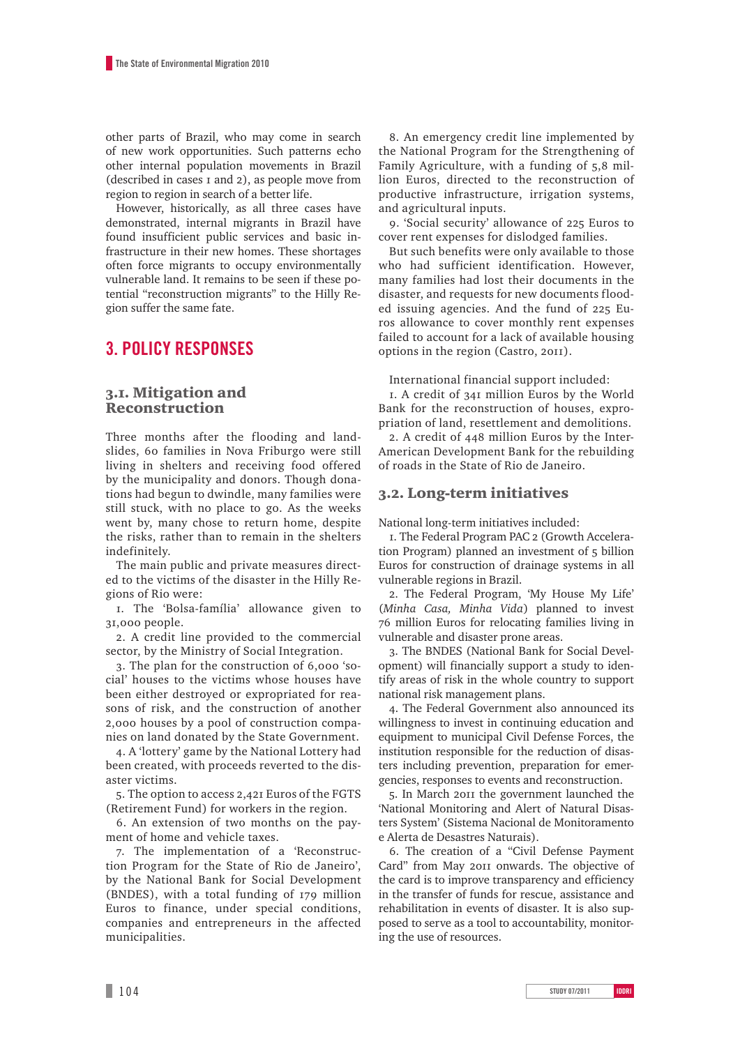other parts of Brazil, who may come in search of new work opportunities. Such patterns echo other internal population movements in Brazil (described in cases 1 and 2), as people move from region to region in search of a better life.

However, historically, as all three cases have demonstrated, internal migrants in Brazil have found insufficient public services and basic infrastructure in their new homes. These shortages often force migrants to occupy environmentally vulnerable land. It remains to be seen if these potential "reconstruction migrants" to the Hilly Region suffer the same fate.

## **3. Policy Responses**

### 3.1. Mitigation and Reconstruction

Three months after the flooding and landslides, 60 families in Nova Friburgo were still living in shelters and receiving food offered by the municipality and donors. Though donations had begun to dwindle, many families were still stuck, with no place to go. As the weeks went by, many chose to return home, despite the risks, rather than to remain in the shelters indefinitely.

The main public and private measures directed to the victims of the disaster in the Hilly Regions of Rio were:

1. The 'Bolsa-família' allowance given to 31,000 people.

2. A credit line provided to the commercial sector, by the Ministry of Social Integration.

3. The plan for the construction of 6,000 'social' houses to the victims whose houses have been either destroyed or expropriated for reasons of risk, and the construction of another 2,000 houses by a pool of construction companies on land donated by the State Government.

4. A 'lottery' game by the National Lottery had been created, with proceeds reverted to the disaster victims.

5. The option to access 2,421 Euros of the FGTS (Retirement Fund) for workers in the region.

6. An extension of two months on the payment of home and vehicle taxes.

7. The implementation of a 'Reconstruction Program for the State of Rio de Janeiro', by the National Bank for Social Development (BNDES), with a total funding of 179 million Euros to finance, under special conditions, companies and entrepreneurs in the affected municipalities.

8. An emergency credit line implemented by the National Program for the Strengthening of Family Agriculture, with a funding of 5,8 million Euros, directed to the reconstruction of productive infrastructure, irrigation systems, and agricultural inputs.

9. 'Social security' allowance of 225 Euros to cover rent expenses for dislodged families.

But such benefits were only available to those who had sufficient identification. However, many families had lost their documents in the disaster, and requests for new documents flooded issuing agencies. And the fund of 225 Euros allowance to cover monthly rent expenses failed to account for a lack of available housing options in the region (Castro, 2011).

International financial support included:

1. A credit of 341 million Euros by the World Bank for the reconstruction of houses, expropriation of land, resettlement and demolitions.

2. A credit of 448 million Euros by the Inter-American Development Bank for the rebuilding of roads in the State of Rio de Janeiro.

### 3.2. Long-term initiatives

National long-term initiatives included:

1. The Federal Program PAC 2 (Growth Acceleration Program) planned an investment of 5 billion Euros for construction of drainage systems in all vulnerable regions in Brazil.

2. The Federal Program, 'My House My Life' (*Minha Casa, Minha Vida*) planned to invest 76 million Euros for relocating families living in vulnerable and disaster prone areas.

3. The BNDES (National Bank for Social Development) will financially support a study to identify areas of risk in the whole country to support national risk management plans.

4. The Federal Government also announced its willingness to invest in continuing education and equipment to municipal Civil Defense Forces, the institution responsible for the reduction of disasters including prevention, preparation for emergencies, responses to events and reconstruction.

5. In March 2011 the government launched the 'National Monitoring and Alert of Natural Disasters System' (Sistema Nacional de Monitoramento e Alerta de Desastres Naturais).

6. The creation of a "Civil Defense Payment Card" from May 2011 onwards. The objective of the card is to improve transparency and efficiency in the transfer of funds for rescue, assistance and rehabilitation in events of disaster. It is also supposed to serve as a tool to accountability, monitoring the use of resources.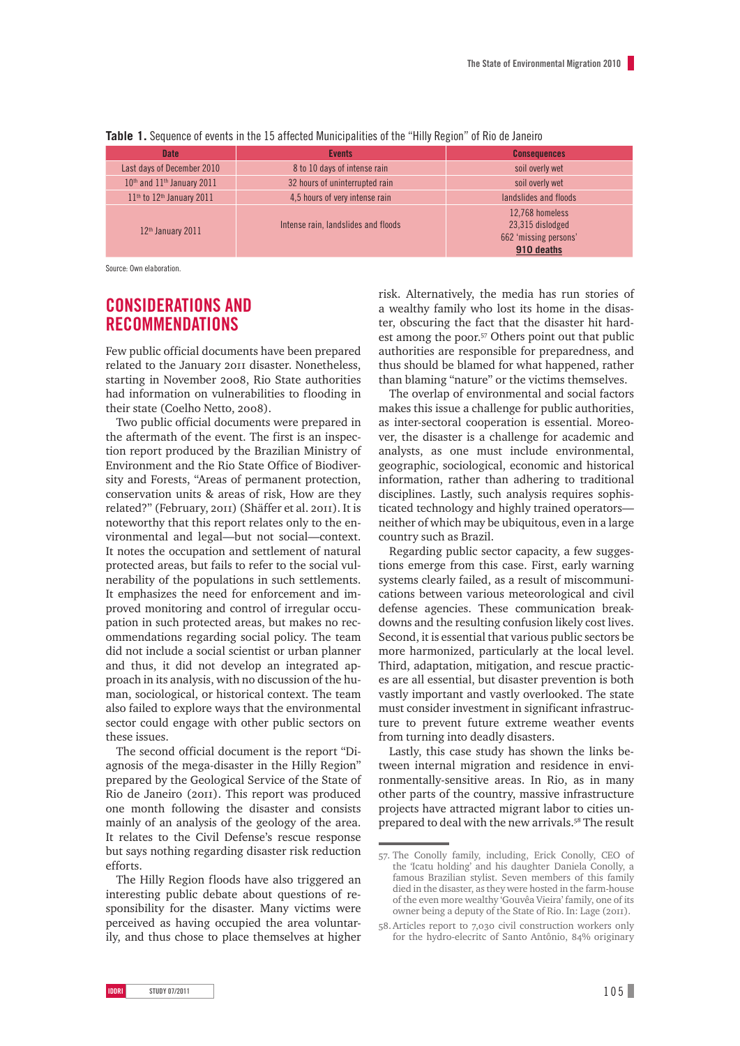| <b>Date</b>                   | <b>Events</b>                       | <b>Consequences</b>                                                        |  |
|-------------------------------|-------------------------------------|----------------------------------------------------------------------------|--|
| Last days of December 2010    | 8 to 10 days of intense rain        | soil overly wet                                                            |  |
| 10th and 11th January 2011    | 32 hours of uninterrupted rain      | soil overly wet                                                            |  |
| $11th$ to $12th$ January 2011 | 4.5 hours of very intense rain      | landslides and floods                                                      |  |
| $12th$ January 2011           | Intense rain, landslides and floods | 12,768 homeless<br>23,315 dislodged<br>662 'missing persons'<br>910 deaths |  |

**Table 1.** Sequence of events in the 15 affected Municipalities of the "Hilly Region" of Rio de Janeiro

Source: Own elaboration.

# **Considerations and recommendations**

Few public official documents have been prepared related to the January 2011 disaster. Nonetheless, starting in November 2008, Rio State authorities had information on vulnerabilities to flooding in their state (Coelho Netto, 2008).

Two public official documents were prepared in the aftermath of the event. The first is an inspection report produced by the Brazilian Ministry of Environment and the Rio State Office of Biodiversity and Forests, "Areas of permanent protection, conservation units & areas of risk, How are they related?" (February, 2011) (Shäffer et al. 2011). It is noteworthy that this report relates only to the environmental and legal—but not social—context. It notes the occupation and settlement of natural protected areas, but fails to refer to the social vulnerability of the populations in such settlements. It emphasizes the need for enforcement and improved monitoring and control of irregular occupation in such protected areas, but makes no recommendations regarding social policy. The team did not include a social scientist or urban planner and thus, it did not develop an integrated approach in its analysis, with no discussion of the human, sociological, or historical context. The team also failed to explore ways that the environmental sector could engage with other public sectors on these issues.

The second official document is the report "Diagnosis of the mega-disaster in the Hilly Region" prepared by the Geological Service of the State of Rio de Janeiro (2011). This report was produced one month following the disaster and consists mainly of an analysis of the geology of the area. It relates to the Civil Defense's rescue response but says nothing regarding disaster risk reduction efforts.

The Hilly Region floods have also triggered an interesting public debate about questions of responsibility for the disaster. Many victims were perceived as having occupied the area voluntarily, and thus chose to place themselves at higher risk. Alternatively, the media has run stories of a wealthy family who lost its home in the disaster, obscuring the fact that the disaster hit hardest among the poor.57 Others point out that public authorities are responsible for preparedness, and thus should be blamed for what happened, rather than blaming "nature" or the victims themselves.

The overlap of environmental and social factors makes this issue a challenge for public authorities, as inter-sectoral cooperation is essential. Moreover, the disaster is a challenge for academic and analysts, as one must include environmental, geographic, sociological, economic and historical information, rather than adhering to traditional disciplines. Lastly, such analysis requires sophisticated technology and highly trained operators neither of which may be ubiquitous, even in a large country such as Brazil.

Regarding public sector capacity, a few suggestions emerge from this case. First, early warning systems clearly failed, as a result of miscommunications between various meteorological and civil defense agencies. These communication breakdowns and the resulting confusion likely cost lives. Second, it is essential that various public sectors be more harmonized, particularly at the local level. Third, adaptation, mitigation, and rescue practices are all essential, but disaster prevention is both vastly important and vastly overlooked. The state must consider investment in significant infrastructure to prevent future extreme weather events from turning into deadly disasters.

Lastly, this case study has shown the links between internal migration and residence in environmentally-sensitive areas. In Rio, as in many other parts of the country, massive infrastructure projects have attracted migrant labor to cities unprepared to deal with the new arrivals.<sup>58</sup> The result

<sup>57.</sup> The Conolly family, including, Erick Conolly, CEO of the 'Icatu holding' and his daughter Daniela Conolly, a famous Brazilian stylist. Seven members of this family died in the disaster, as they were hosted in the farm-house of the even more wealthy 'Gouvêa Vieira' family, one of its owner being a deputy of the State of Rio. In: Lage (2011).

<sup>58.</sup>Articles report to 7,030 civil construction workers only for the hydro-elecritc of Santo Antônio, 84% originary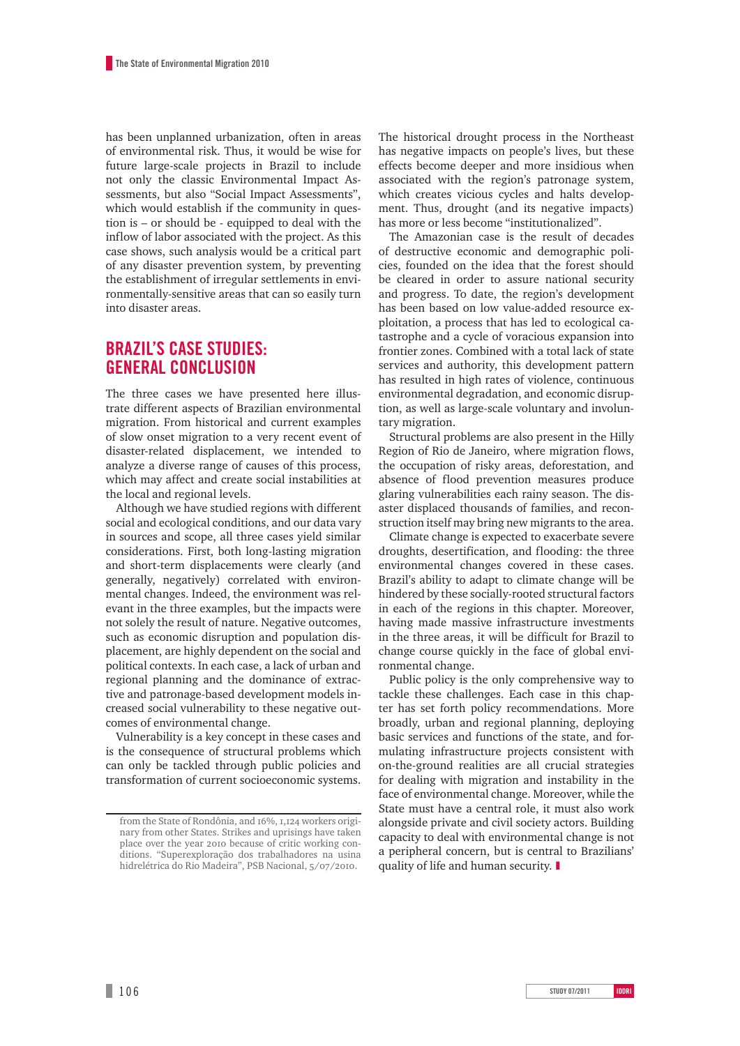has been unplanned urbanization, often in areas of environmental risk. Thus, it would be wise for future large-scale projects in Brazil to include not only the classic Environmental Impact Assessments, but also "Social Impact Assessments", which would establish if the community in question is – or should be - equipped to deal with the inflow of labor associated with the project. As this case shows, such analysis would be a critical part of any disaster prevention system, by preventing the establishment of irregular settlements in environmentally-sensitive areas that can so easily turn into disaster areas.

## **BRAZIL'S CASE STUDIES: GENERAL CONCLUSION**

The three cases we have presented here illustrate different aspects of Brazilian environmental migration. From historical and current examples of slow onset migration to a very recent event of disaster-related displacement, we intended to analyze a diverse range of causes of this process, which may affect and create social instabilities at the local and regional levels.

Although we have studied regions with different social and ecological conditions, and our data vary in sources and scope, all three cases yield similar considerations. First, both long-lasting migration and short-term displacements were clearly (and generally, negatively) correlated with environmental changes. Indeed, the environment was relevant in the three examples, but the impacts were not solely the result of nature. Negative outcomes, such as economic disruption and population displacement, are highly dependent on the social and political contexts. In each case, a lack of urban and regional planning and the dominance of extractive and patronage-based development models increased social vulnerability to these negative outcomes of environmental change.

Vulnerability is a key concept in these cases and is the consequence of structural problems which can only be tackled through public policies and transformation of current socioeconomic systems.

The historical drought process in the Northeast has negative impacts on people's lives, but these effects become deeper and more insidious when associated with the region's patronage system, which creates vicious cycles and halts development. Thus, drought (and its negative impacts) has more or less become "institutionalized".

The Amazonian case is the result of decades of destructive economic and demographic policies, founded on the idea that the forest should be cleared in order to assure national security and progress. To date, the region's development has been based on low value-added resource exploitation, a process that has led to ecological catastrophe and a cycle of voracious expansion into frontier zones. Combined with a total lack of state services and authority, this development pattern has resulted in high rates of violence, continuous environmental degradation, and economic disruption, as well as large-scale voluntary and involuntary migration.

Structural problems are also present in the Hilly Region of Rio de Janeiro, where migration flows, the occupation of risky areas, deforestation, and absence of flood prevention measures produce glaring vulnerabilities each rainy season. The disaster displaced thousands of families, and reconstruction itself may bring new migrants to the area.

Climate change is expected to exacerbate severe droughts, desertification, and flooding: the three environmental changes covered in these cases. Brazil's ability to adapt to climate change will be hindered by these socially-rooted structural factors in each of the regions in this chapter. Moreover, having made massive infrastructure investments in the three areas, it will be difficult for Brazil to change course quickly in the face of global environmental change.

Public policy is the only comprehensive way to tackle these challenges. Each case in this chapter has set forth policy recommendations. More broadly, urban and regional planning, deploying basic services and functions of the state, and formulating infrastructure projects consistent with on-the-ground realities are all crucial strategies for dealing with migration and instability in the face of environmental change. Moreover, while the State must have a central role, it must also work alongside private and civil society actors. Building capacity to deal with environmental change is not a peripheral concern, but is central to Brazilians' quality of life and human security. ❚

from the State of Rondônia, and 16%, 1,124 workers originary from other States. Strikes and uprisings have taken place over the year 2010 because of critic working conditions. "Superexploração dos trabalhadores na usina hidrelétrica do Rio Madeira", PSB Nacional, 5/07/2010.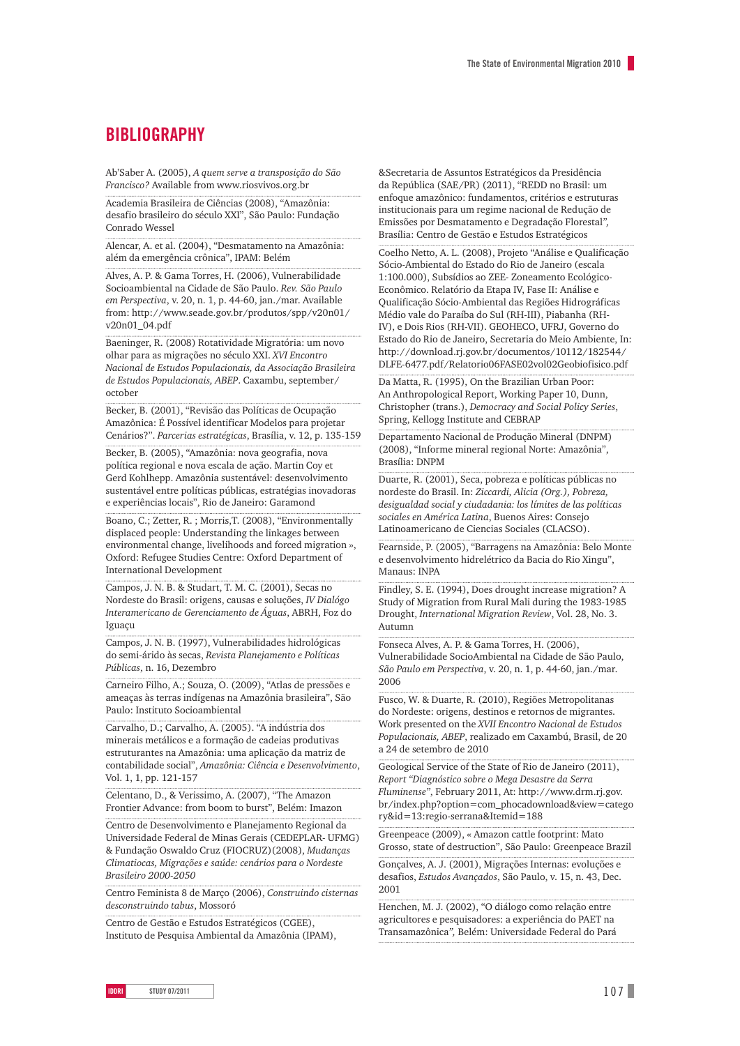## **BIBLIOGRAPHY**

Ab'Saber A. (2005), *A quem serve a transposição do São Francisco?* Available from www.riosvivos.org.br

Academia Brasileira de Ciências (2008), "Amazônia: desafio brasileiro do século XXI", São Paulo: Fundação Conrado Wessel

Alencar, A. et al. (2004), "Desmatamento na Amazônia: além da emergência crônica", IPAM: Belém

Alves, A. P. & Gama Torres, H. (2006), Vulnerabilidade Socioambiental na Cidade de São Paulo. *Rev. São Paulo em Perspectiva*, v. 20, n. 1, p. 44-60, jan./mar. Available from: http://www.seade.gov.br/produtos/spp/v20n01/ v20n01\_04.pdf

Baeninger, R. (2008) Rotatividade Migratória: um novo olhar para as migrações no século XXI. *XVI Encontro Nacional de Estudos Populacionais, da Associação Brasileira de Estudos Populacionais, ABEP*. Caxambu, september/ october

Becker, B. (2001), "Revisão das Políticas de Ocupação Amazônica: É Possível identificar Modelos para projetar Cenários?". *Parcerias estratégicas*, Brasília, v. 12, p. 135-159

Becker, B. (2005), "Amazônia: nova geografia, nova política regional e nova escala de ação. Martin Coy et Gerd Kohlhepp. Amazônia sustentável: desenvolvimento sustentável entre políticas públicas, estratégias inovadoras e experiências locais", Rio de Janeiro: Garamond

Boano, C.; Zetter, R. ; Morris,T. (2008), "Environmentally displaced people: Understanding the linkages between environmental change, livelihoods and forced migration », Oxford: Refugee Studies Centre: Oxford Department of International Development

Campos, J. N. B. & Studart, T. M. C. (2001), Secas no Nordeste do Brasil: origens, causas e soluções, *IV Dialógo Interamericano de Gerenciamento de Águas*, ABRH, Foz do Iguaçu

Campos, J. N. B. (1997), Vulnerabilidades hidrológicas do semi-árido às secas, *Revista Planejamento e Políticas Públicas*, n. 16, Dezembro

Carneiro Filho, A.; Souza, O. (2009), "Atlas de pressões e ameaças às terras indígenas na Amazônia brasileira", São Paulo: Instituto Socioambiental

Carvalho, D.; Carvalho, A. (2005). "A indústria dos minerais metálicos e a formação de cadeias produtivas estruturantes na Amazônia: uma aplicação da matriz de contabilidade social", *Amazônia: Ciência e Desenvolvimento*, Vol. 1, 1, pp. 121-157

Celentano, D., & Verissimo, A. (2007), "The Amazon Frontier Advance: from boom to burst", Belém: Imazon

Centro de Desenvolvimento e Planejamento Regional da Universidade Federal de Minas Gerais (CEDEPLAR- UFMG) & Fundação Oswaldo Cruz (FIOCRUZ)(2008), *Mudanças Climatiocas, Migrações e saúde: cenários para o Nordeste Brasileiro 2000-2050*

Centro Feminista 8 de Março (2006), *Construindo cisternas desconstruindo tabus*, Mossoró

Centro de Gestão e Estudos Estratégicos (CGEE), Instituto de Pesquisa Ambiental da Amazônia (IPAM), &Secretaria de Assuntos Estratégicos da Presidência da República (SAE/PR) (2011), "REDD no Brasil: um enfoque amazônico: fundamentos, critérios e estruturas institucionais para um regime nacional de Redução de Emissões por Desmatamento e Degradação Florestal*",* Brasília: Centro de Gestão e Estudos Estratégicos

Coelho Netto, A. L. (2008), Projeto "Análise e Qualificação Sócio-Ambiental do Estado do Rio de Janeiro (escala 1:100.000), Subsídios ao ZEE- Zoneamento Ecológico-Econômico. Relatório da Etapa IV, Fase II: Análise e Qualificação Sócio-Ambiental das Regiões Hidrográficas Médio vale do Paraíba do Sul (RH-III), Piabanha (RH-IV), e Dois Rios (RH-VII). GEOHECO, UFRJ, Governo do Estado do Rio de Janeiro, Secretaria do Meio Ambiente, In: http://download.rj.gov.br/documentos/10112/182544/ DLFE-6477.pdf/Relatorio06FASE02vol02Geobiofisico.pdf

Da Matta, R. (1995), On the Brazilian Urban Poor: An Anthropological Report, Working Paper 10, Dunn, Christopher (trans.), *Democracy and Social Policy Series*, Spring, Kellogg Institute and CEBRAP

Departamento Nacional de Produção Mineral (DNPM) (2008), "Informe mineral regional Norte: Amazônia", Brasília: DNPM

Duarte, R. (2001), Seca, pobreza e políticas públicas no nordeste do Brasil. In: *Ziccardi, Alicia (Org.), Pobreza, desigualdad social y ciudadania: los límites de las políticas sociales en América Latina*, Buenos Aires: Consejo Latinoamericano de Ciencias Sociales (CLACSO).

Fearnside, P. (2005), "Barragens na Amazônia: Belo Monte e desenvolvimento hidrelétrico da Bacia do Rio Xingu", Manaus: INPA

Findley, S. E. (1994), Does drought increase migration? A Study of Migration from Rural Mali during the 1983-1985 Drought, *International Migration Review*, Vol. 28, No. 3. Autumn

Fonseca Alves, A. P. & Gama Torres, H. (2006), Vulnerabilidade SocioAmbiental na Cidade de São Paulo, *São Paulo em Perspectiva*, v. 20, n. 1, p. 44-60, jan./mar. 2006

Fusco, W. & Duarte, R. (2010), Regiões Metropolitanas do Nordeste: origens, destinos e retornos de migrantes. Work presented on the *XVII Encontro Nacional de Estudos Populacionais, ABEP*, realizado em Caxambú, Brasil, de 20 a 24 de setembro de 2010

Geological Service of the State of Rio de Janeiro (2011), *Report "Diagnóstico sobre o Mega Desastre da Serra Fluminense"*, February 2011, At: http://www.drm.rj.gov. br/index.php?option=com\_phocadownload&view=catego ry&id=13:regio-serrana&Itemid=188

Greenpeace (2009), « Amazon cattle footprint: Mato Grosso, state of destruction", São Paulo: Greenpeace Brazil

Gonçalves, A. J. (2001), Migrações Internas: evoluções e desafios, *Estudos Avançados*, São Paulo, v. 15, n. 43, Dec. 2001

Henchen, M. J. (2002), "O diálogo como relação entre agricultores e pesquisadores: a experiência do PAET na Transamazônica*",* Belém: Universidade Federal do Pará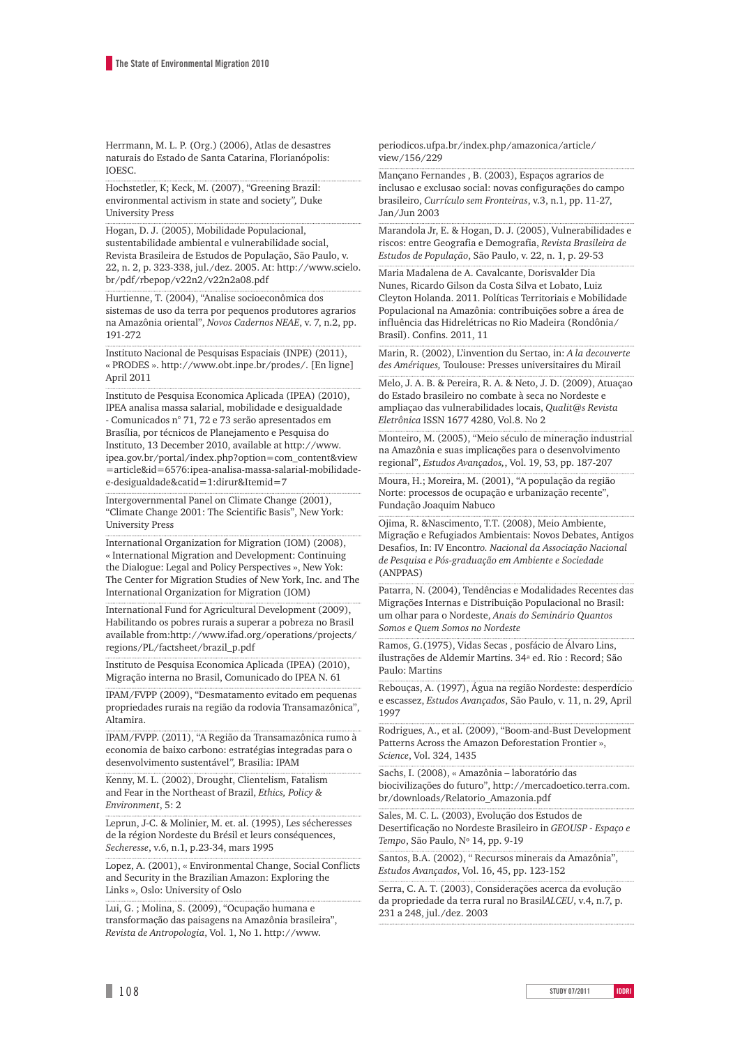Herrmann, M. L. P. (Org.) (2006), Atlas de desastres naturais do Estado de Santa Catarina, Florianópolis: IOESC.

Hochstetler, K; Keck, M. (2007), "Greening Brazil: environmental activism in state and society*",* Duke University Press

Hogan, D. J. (2005), Mobilidade Populacional, sustentabilidade ambiental e vulnerabilidade social, Revista Brasileira de Estudos de População, São Paulo, v. 22, n. 2, p. 323-338, jul./dez. 2005. At: http://www.scielo. br/pdf/rbepop/v22n2/v22n2a08.pdf

Hurtienne, T. (2004), "Analise socioeconômica dos sistemas de uso da terra por pequenos produtores agrarios na Amazônia oriental", *Novos Cadernos NEAE*, v. 7, n.2, pp. 191-272

Instituto Nacional de Pesquisas Espaciais (INPE) (2011), « PRODES ». http://www.obt.inpe.br/prodes/. [En ligne] April 2011

Instituto de Pesquisa Economica Aplicada (IPEA) (2010), IPEA analisa massa salarial, mobilidade e desigualdade - Comunicados n° 71, 72 e 73 serão apresentados em Brasília, por técnicos de Planejamento e Pesquisa do Instituto, 13 December 2010, available at http://www. ipea.gov.br/portal/index.php?option=com\_content&view =article&id=6576:ipea-analisa-massa-salarial-mobilidadee-desigualdade&catid=1:dirur&Itemid=7

Intergovernmental Panel on Climate Change (2001), "Climate Change 2001: The Scientific Basis", New York: University Press

International Organization for Migration (IOM) (2008), « International Migration and Development: Continuing the Dialogue: Legal and Policy Perspectives », New Yok: The Center for Migration Studies of New York, Inc. and The International Organization for Migration (IOM)

International Fund for Agricultural Development (2009), Habilitando os pobres rurais a superar a pobreza no Brasil available from:http://www.ifad.org/operations/projects/ regions/PL/factsheet/brazil\_p.pdf

Instituto de Pesquisa Economica Aplicada (IPEA) (2010), Migração interna no Brasil, Comunicado do IPEA N. 61

IPAM/FVPP (2009), "Desmatamento evitado em pequenas propriedades rurais na região da rodovia Transamazônica", Altamira.

IPAM/FVPP. (2011), "A Região da Transamazônica rumo à economia de baixo carbono: estratégias integradas para o desenvolvimento sustentável*",* Brasilia: IPAM

Kenny, M. L. (2002), Drought, Clientelism, Fatalism and Fear in the Northeast of Brazil, *Ethics, Policy & Environment*, 5: 2

Leprun, J-C. & Molinier, M. et. al. (1995), Les sécheresses de la région Nordeste du Brésil et leurs conséquences, *Secheresse*, v.6, n.1, p.23-34, mars 1995

Lopez, A. (2001), « Environmental Change, Social Conflicts and Security in the Brazilian Amazon: Exploring the Links », Oslo: University of Oslo

Lui, G. ; Molina, S. (2009), "Ocupação humana e transformação das paisagens na Amazônia brasileira", *Revista de Antropologia*, Vol. 1, No 1. http://www.

periodicos.ufpa.br/index.php/amazonica/article/ view/156/229

Mançano Fernandes , B. (2003), Espaços agrarios de inclusao e exclusao social: novas configurações do campo brasileiro, *Currículo sem Fronteiras*, v.3, n.1, pp. 11-27, Jan/Jun 2003

Marandola Jr, E. & Hogan, D. J. (2005), Vulnerabilidades e riscos: entre Geografia e Demografia, *Revista Brasileira de Estudos de População*, São Paulo, v. 22, n. 1, p. 29-53

Maria Madalena de A. Cavalcante, Dorisvalder Dia Nunes, Ricardo Gilson da Costa Silva et Lobato, Luiz Cleyton Holanda. 2011. Políticas Territoriais e Mobilidade Populacional na Amazônia: contribuições sobre a área de influência das Hidrelétricas no Rio Madeira (Rondônia/ Brasil). Confins. 2011, 11

Marin, R. (2002), L'invention du Sertao, in: *A la decouverte des Amériques,* Toulouse: Presses universitaires du Mirail

Melo, J. A. B. & Pereira, R. A. & Neto, J. D. (2009), Atuaçao do Estado brasileiro no combate à seca no Nordeste e ampliaçao das vulnerabilidades locais, *Qualit@s Revista Eletrônica* ISSN 1677 4280, Vol.8. No 2

Monteiro, M. (2005), "Meio século de mineração industrial na Amazônia e suas implicações para o desenvolvimento regional", *Estudos Avançados,*, Vol. 19, 53, pp. 187-207

Moura, H.; Moreira, M. (2001), "A população da região Norte: processos de ocupação e urbanização recente", Fundação Joaquim Nabuco

Ojima, R. &Nascimento, T.T. (2008), Meio Ambiente, Migração e Refugiados Ambientais: Novos Debates, Antigos Desafios, In: IV Encontr*o. Nacional da Associação Nacional de Pesquisa e Pós-graduação em Ambiente e Sociedade*  (ANPPAS)

Patarra, N. (2004), Tendências e Modalidades Recentes das Migrações Internas e Distribuição Populacional no Brasil: um olhar para o Nordeste, *Anais do Seminário Quantos Somos e Quem Somos no Nordeste*

Ramos, G.(1975), Vidas Secas , posfácio de Álvaro Lins, ilustrações de Aldemir Martins. 34ª ed. Rio : Record; São Paulo: Martins

Rebouças, A. (1997), Água na região Nordeste: desperdício e escassez, *Estudos Avançados*, São Paulo, v. 11, n. 29, April 1997

Rodrigues, A., et al. (2009), "Boom-and-Bust Development Patterns Across the Amazon Deforestation Frontier », *Science*, Vol. 324, 1435

Sachs, I. (2008), « Amazônia – laboratório das biocivilizações do futuro", http://mercadoetico.terra.com. br/downloads/Relatorio\_Amazonia.pdf

Sales, M. C. L. (2003), Evolução dos Estudos de Desertificação no Nordeste Brasileiro in *GEOUSP - Espaço e Tempo*, São Paulo, Nº 14, pp. 9-19

Santos, B.A. (2002), " Recursos minerais da Amazônia", *Estudos Avançados*, Vol. 16, 45, pp. 123-152

Serra, C. A. T. (2003), Considerações acerca da evolução da propriedade da terra rural no Brasil*ALCEU*, v.4, n.7, p. 231 a 248, jul./dez. 2003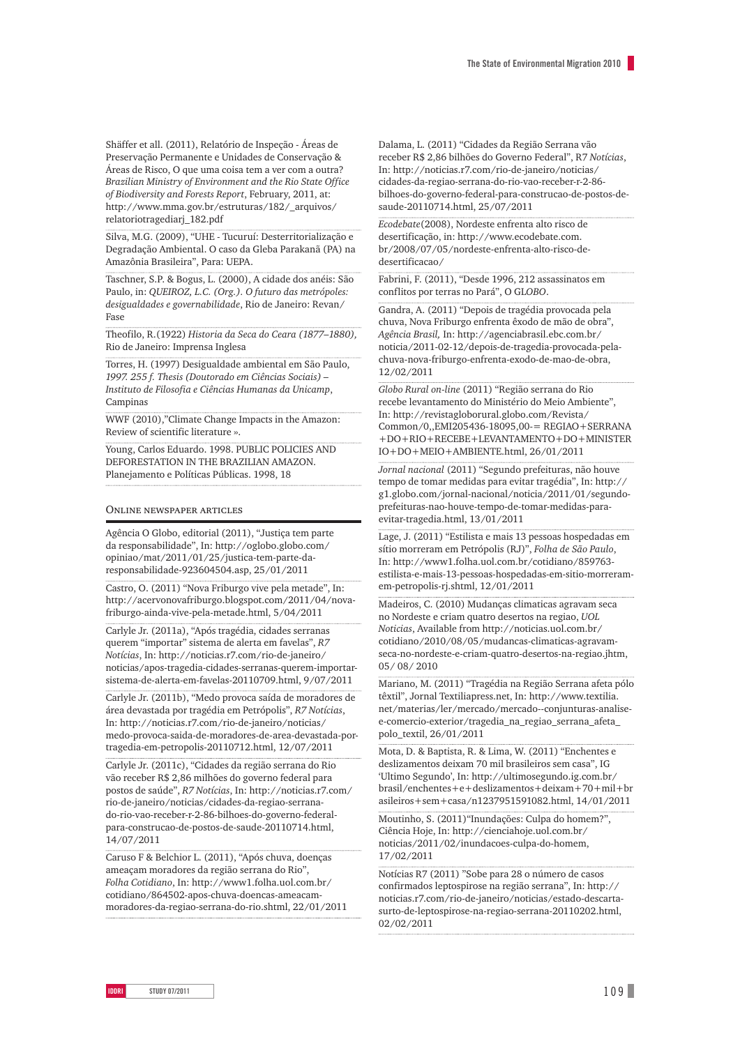Shäffer et all. (2011), Relatório de Inspeção - Áreas de Preservação Permanente e Unidades de Conservação & Áreas de Risco, O que uma coisa tem a ver com a outra? *Brazilian Ministry of Environment and the Rio State Office of Biodiversity and Forests Report*, February, 2011, at: http://www.mma.gov.br/estruturas/182/\_arquivos/ relatoriotragediarj\_182.pdf

Silva, M.G. (2009), "UHE - Tucuruí: Desterritorialização e Degradação Ambiental. O caso da Gleba Parakanã (PA) na Amazônia Brasileira", Para: UEPA.

Taschner, S.P. & Bogus, L. (2000), A cidade dos anéis: São Paulo, in: *QUEIROZ, L.C. (Org.). O futuro das metrópoles: desigualdades e governabilidade*, Rio de Janeiro: Revan/ Fase

Theofilo, R.(1922) *Historia da Seca do Ceara (1877–1880),*  Rio de Janeiro: Imprensa Inglesa

Torres, H. (1997) Desigualdade ambiental em São Paulo, *1997. 255 f. Thesis (Doutorado em Ciências Sociais) – Instituto de Filosofia e Ciências Humanas da Unicamp*, Campinas

WWF (2010),"Climate Change Impacts in the Amazon: Review of scientific literature ».

Young, Carlos Eduardo. 1998. PUBLIC POLICIES AND DEFORESTATION IN THE BRAZILIAN AMAZON. Planejamento e Políticas Públicas. 1998, 18

#### Online newspaper articles

Agência O Globo, editorial (2011), "Justiça tem parte da responsabilidade", In: http://oglobo.globo.com/ opiniao/mat/2011/01/25/justica-tem-parte-daresponsabilidade-923604504.asp, 25/01/2011

Castro, O. (2011) "Nova Friburgo vive pela metade", In: http://acervonovafriburgo.blogspot.com/2011/04/novafriburgo-ainda-vive-pela-metade.html, 5/04/2011

Carlyle Jr. (2011a), "Após tragédia, cidades serranas querem "importar" sistema de alerta em favelas", *R7 Notícias*, In: http://noticias.r7.com/rio-de-janeiro/ noticias/apos-tragedia-cidades-serranas-querem-importarsistema-de-alerta-em-favelas-20110709.html, 9/07/2011

Carlyle Jr. (2011b), "Medo provoca saída de moradores de área devastada por tragédia em Petrópolis", *R7 Notícias*, In: http://noticias.r7.com/rio-de-janeiro/noticias/ medo-provoca-saida-de-moradores-de-area-devastada-portragedia-em-petropolis-20110712.html, 12/07/2011

Carlyle Jr. (2011c), "Cidades da região serrana do Rio vão receber R\$ 2,86 milhões do governo federal para postos de saúde", *R7 Notícias*, In: http://noticias.r7.com/ rio-de-janeiro/noticias/cidades-da-regiao-serranado-rio-vao-receber-r-2-86-bilhoes-do-governo-federalpara-construcao-de-postos-de-saude-20110714.html, 14/07/2011

Caruso F & Belchior L. (2011), "Após chuva, doenças ameaçam moradores da região serrana do Rio", *Folha Cotidiano*, In: http://www1.folha.uol.com.br/ cotidiano/864502-apos-chuva-doencas-ameacammoradores-da-regiao-serrana-do-rio.shtml, 22/01/2011 Dalama, L. (2011) "Cidades da Região Serrana vão receber R\$ 2,86 bilhões do Governo Federal", R7 *Notícias*, In: http://noticias.r7.com/rio-de-janeiro/noticias/ cidades-da-regiao-serrana-do-rio-vao-receber-r-2-86 bilhoes-do-governo-federal-para-construcao-de-postos-desaude-20110714.html, 25/07/2011

*Ecodebate*(2008), Nordeste enfrenta alto risco de desertificação, in: http://www.ecodebate.com. br/2008/07/05/nordeste-enfrenta-alto-risco-dedesertificacao/

Fabrini, F. (2011), "Desde 1996, 212 assassinatos em conflitos por terras no Pará", O GL*OBO*.

Gandra, A. (2011) "Depois de tragédia provocada pela chuva, Nova Friburgo enfrenta êxodo de mão de obra", *Agência Brasil,* In: http://agenciabrasil.ebc.com.br/ noticia/2011-02-12/depois-de-tragedia-provocada-pelachuva-nova-friburgo-enfrenta-exodo-de-mao-de-obra, 12/02/2011

*Globo Rural on-line* (2011) "Região serrana do Rio recebe levantamento do Ministério do Meio Ambiente", In: http://revistagloborural.globo.com/Revista/ Common/0,,EMI205436-18095,00-= REGIAO+SERRANA +DO+RIO+RECEBE+LEVANTAMENTO+DO+MINISTER IO+DO+MEIO+AMBIENTE.html, 26/01/2011

*Jornal nacional* (2011) "Segundo prefeituras, não houve tempo de tomar medidas para evitar tragédia", In: http:// g1.globo.com/jornal-nacional/noticia/2011/01/segundoprefeituras-nao-houve-tempo-de-tomar-medidas-paraevitar-tragedia.html, 13/01/2011

Lage, J. (2011) "Estilista e mais 13 pessoas hospedadas em sítio morreram em Petrópolis (RJ)", *Folha de São Paulo*, In: http://www1.folha.uol.com.br/cotidiano/859763 estilista-e-mais-13-pessoas-hospedadas-em-sitio-morreramem-petropolis-rj.shtml, 12/01/2011

Madeiros, C. (2010) Mudanças climaticas agravam seca no Nordeste e criam quatro desertos na regiao, *UOL Noticias*, Available from http://noticias.uol.com.br/ cotidiano/2010/08/05/mudancas-climaticas-agravamseca-no-nordeste-e-criam-quatro-desertos-na-regiao.jhtm, 05/ 08/ 2010

Mariano, M. (2011) "Tragédia na Região Serrana afeta pólo têxtil", Jornal Textiliapress.net, In: http://www.textilia. net/materias/ler/mercado/mercado--conjunturas-analisee-comercio-exterior/tragedia\_na\_regiao\_serrana\_afeta\_ polo\_textil, 26/01/2011

Mota, D. & Baptista, R. & Lima, W. (2011) "Enchentes e deslizamentos deixam 70 mil brasileiros sem casa", IG 'Ultimo Segundo', In: http://ultimosegundo.ig.com.br/ brasil/enchentes+e+deslizamentos+deixam+70+mil+br asileiros+sem+casa/n1237951591082.html, 14/01/2011

Moutinho, S. (2011)"Inundações: Culpa do homem?", Ciência Hoje, In: http://cienciahoje.uol.com.br/ noticias/2011/02/inundacoes-culpa-do-homem, 17/02/2011

Notícias R7 (2011) "Sobe para 28 o número de casos confirmados leptospirose na região serrana", In: http:// noticias.r7.com/rio-de-janeiro/noticias/estado-descartasurto-de-leptospirose-na-regiao-serrana-20110202.html, 02/02/2011